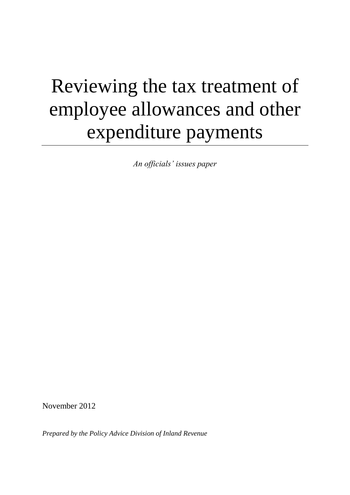# Reviewing the tax treatment of employee allowances and other expenditure payments

*An officials' issues paper*

November 2012

*Prepared by the Policy Advice Division of Inland Revenue*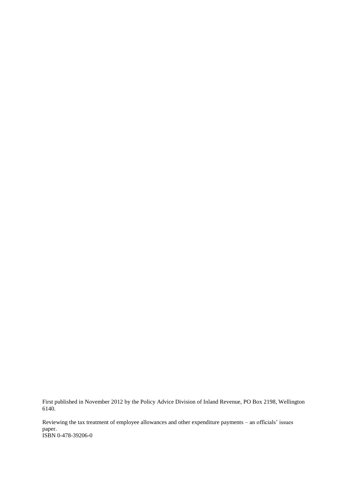First published in November 2012 by the Policy Advice Division of Inland Revenue, PO Box 2198, Wellington 6140.

Reviewing the tax treatment of employee allowances and other expenditure payments – an officials' issues paper. ISBN 0-478-39206-0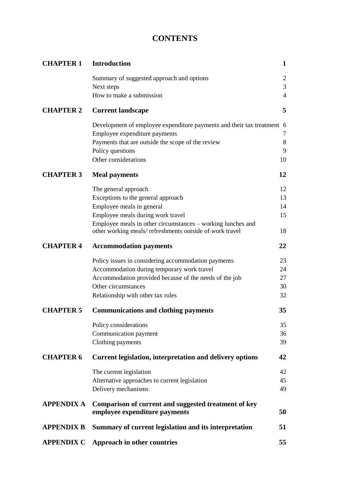# **CONTENTS**

| <b>CHAPTER 1</b>  | <b>Introduction</b>                                                                                                    | $\mathbf{1}$   |
|-------------------|------------------------------------------------------------------------------------------------------------------------|----------------|
|                   | Summary of suggested approach and options                                                                              | $\mathfrak{2}$ |
|                   | Next steps                                                                                                             | 3              |
|                   | How to make a submission                                                                                               | $\overline{4}$ |
| <b>CHAPTER 2</b>  | <b>Current landscape</b>                                                                                               | 5              |
|                   | Development of employee expenditure payments and their tax treatment 6                                                 |                |
|                   | Employee expenditure payments                                                                                          | 7              |
|                   | Payments that are outside the scope of the review                                                                      | $\,8\,$        |
|                   | Policy questions                                                                                                       | 9              |
|                   | Other considerations                                                                                                   | 10             |
| <b>CHAPTER 3</b>  | <b>Meal payments</b>                                                                                                   | 12             |
|                   | The general approach                                                                                                   | 12             |
|                   | Exceptions to the general approach                                                                                     | 13             |
|                   | Employee meals in general                                                                                              | 14             |
|                   | Employee meals during work travel                                                                                      | 15             |
|                   | Employee meals in other circumstances – working lunches and<br>other working meals/refreshments outside of work travel | 18             |
| <b>CHAPTER 4</b>  | <b>Accommodation payments</b>                                                                                          | 22             |
|                   | Policy issues in considering accommodation payments                                                                    | 23             |
|                   | Accommodation during temporary work travel                                                                             | 24             |
|                   | Accommodation provided because of the needs of the job                                                                 | 27             |
|                   | Other circumstances                                                                                                    | 30             |
|                   | Relationship with other tax rules                                                                                      | 32             |
| <b>CHAPTER 5</b>  | <b>Communications and clothing payments</b>                                                                            | 35             |
|                   | Policy considerations                                                                                                  | 35             |
|                   | Communication payment                                                                                                  | 36             |
|                   | Clothing payments                                                                                                      | 39             |
| <b>CHAPTER 6</b>  | <b>Current legislation, interpretation and delivery options</b>                                                        | 42             |
|                   | The current legislation                                                                                                | 42             |
|                   | Alternative approaches to current legislation                                                                          | 45             |
|                   | Delivery mechanisms                                                                                                    | 49             |
| APPENDIX A        | Comparison of current and suggested treatment of key                                                                   |                |
|                   | employee expenditure payments                                                                                          | 50             |
| <b>APPENDIX B</b> | Summary of current legislation and its interpretation                                                                  | 51             |
| <b>APPENDIX C</b> | Approach in other countries                                                                                            | 55             |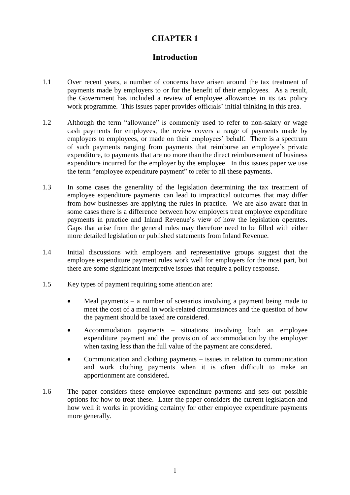# **CHAPTER 1**

# **Introduction**

- 1.1 Over recent years, a number of concerns have arisen around the tax treatment of payments made by employers to or for the benefit of their employees. As a result, the Government has included a review of employee allowances in its tax policy work programme. This issues paper provides officials' initial thinking in this area.
- 1.2 Although the term "allowance" is commonly used to refer to non-salary or wage cash payments for employees, the review covers a range of payments made by employers to employees, or made on their employees' behalf. There is a spectrum of such payments ranging from payments that reimburse an employee's private expenditure, to payments that are no more than the direct reimbursement of business expenditure incurred for the employer by the employee. In this issues paper we use the term "employee expenditure payment" to refer to all these payments.
- 1.3 In some cases the generality of the legislation determining the tax treatment of employee expenditure payments can lead to impractical outcomes that may differ from how businesses are applying the rules in practice. We are also aware that in some cases there is a difference between how employers treat employee expenditure payments in practice and Inland Revenue's view of how the legislation operates. Gaps that arise from the general rules may therefore need to be filled with either more detailed legislation or published statements from Inland Revenue.
- 1.4 Initial discussions with employers and representative groups suggest that the employee expenditure payment rules work well for employers for the most part, but there are some significant interpretive issues that require a policy response.
- 1.5 Key types of payment requiring some attention are:
	- Meal payments a number of scenarios involving a payment being made to meet the cost of a meal in work-related circumstances and the question of how the payment should be taxed are considered.
	- Accommodation payments situations involving both an employee expenditure payment and the provision of accommodation by the employer when taxing less than the full value of the payment are considered.
	- Communication and clothing payments issues in relation to communication and work clothing payments when it is often difficult to make an apportionment are considered.
- 1.6 The paper considers these employee expenditure payments and sets out possible options for how to treat these. Later the paper considers the current legislation and how well it works in providing certainty for other employee expenditure payments more generally.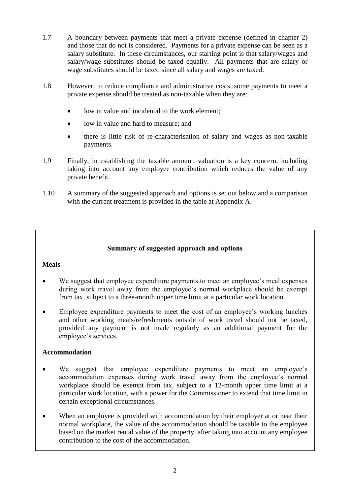- 1.7 A boundary between payments that meet a private expense (defined in chapter 2) and those that do not is considered. Payments for a private expense can be seen as a salary substitute. In these circumstances, our starting point is that salary/wages and salary/wage substitutes should be taxed equally. All payments that are salary or wage substitutes should be taxed since all salary and wages are taxed.
- 1.8 However, to reduce compliance and administrative costs, some payments to meet a private expense should be treated as non-taxable when they are:
	- low in value and incidental to the work element;
	- low in value and hard to measure; and
	- there is little risk of re-characterisation of salary and wages as non-taxable payments.
- 1.9 Finally, in establishing the taxable amount, valuation is a key concern, including taking into account any employee contribution which reduces the value of any private benefit.
- 1.10 A summary of the suggested approach and options is set out below and a comparison with the current treatment is provided in the table at Appendix A.

# **Summary of suggested approach and options**

# **Meals**

- We suggest that employee expenditure payments to meet an employee's meal expenses during work travel away from the employee's normal workplace should be exempt from tax, subject to a three-month upper time limit at a particular work location.
- Employee expenditure payments to meet the cost of an employee's working lunches and other working meals/refreshments outside of work travel should not be taxed, provided any payment is not made regularly as an additional payment for the employee's services.

# **Accommodation**

- We suggest that employee expenditure payments to meet an employee's accommodation expenses during work travel away from the employee's normal workplace should be exempt from tax, subject to a 12-month upper time limit at a particular work location, with a power for the Commissioner to extend that time limit in certain exceptional circumstances.
- When an employee is provided with accommodation by their employer at or near their normal workplace, the value of the accommodation should be taxable to the employee based on the market rental value of the property, after taking into account any employee contribution to the cost of the accommodation.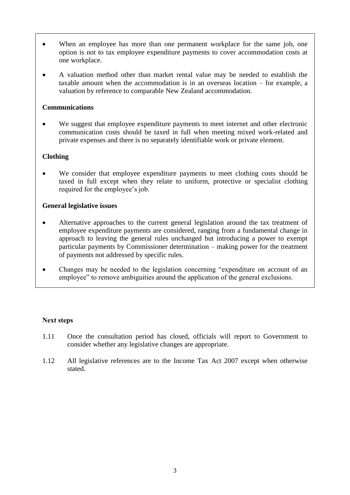- When an employee has more than one permanent workplace for the same job, one option is not to tax employee expenditure payments to cover accommodation costs at one workplace.
- A valuation method other than market rental value may be needed to establish the taxable amount when the accommodation is in an overseas location – for example, a valuation by reference to comparable New Zealand accommodation.

#### **Communications**

 We suggest that employee expenditure payments to meet internet and other electronic communication costs should be taxed in full when meeting mixed work-related and private expenses and there is no separately identifiable work or private element.

# **Clothing**

 We consider that employee expenditure payments to meet clothing costs should be taxed in full except when they relate to uniform, protective or specialist clothing required for the employee's job.

#### **General legislative issues**

- Alternative approaches to the current general legislation around the tax treatment of employee expenditure payments are considered, ranging from a fundamental change in approach to leaving the general rules unchanged but introducing a power to exempt particular payments by Commissioner determination – making power for the treatment of payments not addressed by specific rules.
- Changes may be needed to the legislation concerning "expenditure on account of an employee" to remove ambiguities around the application of the general exclusions.

# **Next steps**

- 1.11 Once the consultation period has closed, officials will report to Government to consider whether any legislative changes are appropriate.
- 1.12 All legislative references are to the Income Tax Act 2007 except when otherwise stated.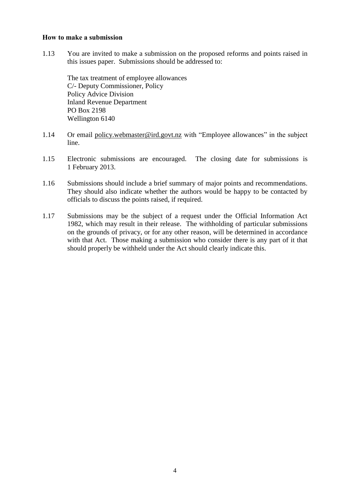#### **How to make a submission**

1.13 You are invited to make a submission on the proposed reforms and points raised in this issues paper. Submissions should be addressed to:

The tax treatment of employee allowances C/- Deputy Commissioner, Policy Policy Advice Division Inland Revenue Department PO Box 2198 Wellington 6140

- 1.14 Or email policy.webmaster@ird.govt.nz with "Employee allowances" in the subject line.
- 1.15 Electronic submissions are encouraged. The closing date for submissions is 1 February 2013.
- 1.16 Submissions should include a brief summary of major points and recommendations. They should also indicate whether the authors would be happy to be contacted by officials to discuss the points raised, if required.
- 1.17 Submissions may be the subject of a request under the Official Information Act 1982, which may result in their release. The withholding of particular submissions on the grounds of privacy, or for any other reason, will be determined in accordance with that Act. Those making a submission who consider there is any part of it that should properly be withheld under the Act should clearly indicate this.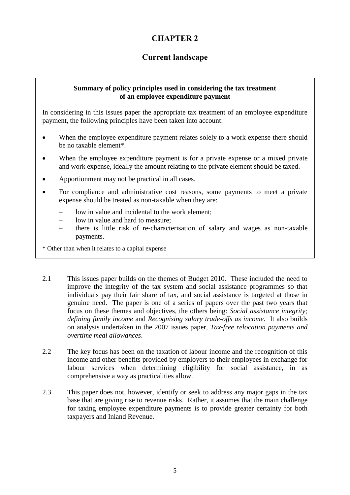# **CHAPTER 2**

# **Current landscape**

#### **Summary of policy principles used in considering the tax treatment of an employee expenditure payment**

In considering in this issues paper the appropriate tax treatment of an employee expenditure payment, the following principles have been taken into account:

- When the employee expenditure payment relates solely to a work expense there should be no taxable element\*.
- When the employee expenditure payment is for a private expense or a mixed private and work expense, ideally the amount relating to the private element should be taxed.
- Apportionment may not be practical in all cases.
- For compliance and administrative cost reasons, some payments to meet a private expense should be treated as non-taxable when they are:
	- low in value and incidental to the work element:
	- low in value and hard to measure;
	- there is little risk of re-characterisation of salary and wages as non-taxable payments.

\* Other than when it relates to a capital expense

- 2.1 This issues paper builds on the themes of Budget 2010. These included the need to improve the integrity of the tax system and social assistance programmes so that individuals pay their fair share of tax, and social assistance is targeted at those in genuine need. The paper is one of a series of papers over the past two years that focus on these themes and objectives, the others being: *Social assistance integrity; defining family income* and *Recognising salary trade-offs as income*. It also builds on analysis undertaken in the 2007 issues paper, *Tax-free relocation payments and overtime meal allowances*.
- 2.2 The key focus has been on the taxation of labour income and the recognition of this income and other benefits provided by employers to their employees in exchange for labour services when determining eligibility for social assistance, in as comprehensive a way as practicalities allow.
- 2.3 This paper does not, however, identify or seek to address any major gaps in the tax base that are giving rise to revenue risks. Rather, it assumes that the main challenge for taxing employee expenditure payments is to provide greater certainty for both taxpayers and Inland Revenue.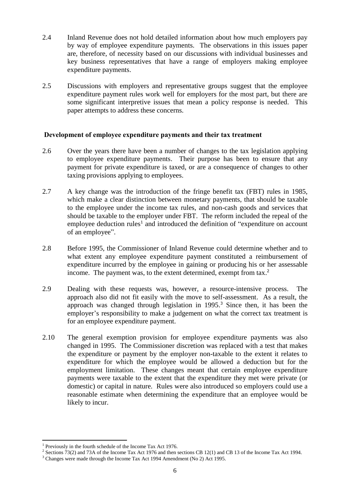- 2.4 Inland Revenue does not hold detailed information about how much employers pay by way of employee expenditure payments. The observations in this issues paper are, therefore, of necessity based on our discussions with individual businesses and key business representatives that have a range of employers making employee expenditure payments.
- 2.5 Discussions with employers and representative groups suggest that the employee expenditure payment rules work well for employers for the most part, but there are some significant interpretive issues that mean a policy response is needed. This paper attempts to address these concerns.

#### **Development of employee expenditure payments and their tax treatment**

- 2.6 Over the years there have been a number of changes to the tax legislation applying to employee expenditure payments. Their purpose has been to ensure that any payment for private expenditure is taxed, or are a consequence of changes to other taxing provisions applying to employees.
- 2.7 A key change was the introduction of the fringe benefit tax (FBT) rules in 1985, which make a clear distinction between monetary payments, that should be taxable to the employee under the income tax rules, and non-cash goods and services that should be taxable to the employer under FBT. The reform included the repeal of the employee deduction rules<sup>1</sup> and introduced the definition of "expenditure on account of an employee".
- 2.8 Before 1995, the Commissioner of Inland Revenue could determine whether and to what extent any employee expenditure payment constituted a reimbursement of expenditure incurred by the employee in gaining or producing his or her assessable income. The payment was, to the extent determined, exempt from tax.<sup>2</sup>
- 2.9 Dealing with these requests was, however, a resource-intensive process. The approach also did not fit easily with the move to self-assessment. As a result, the approach was changed through legislation in 1995. <sup>3</sup> Since then, it has been the employer's responsibility to make a judgement on what the correct tax treatment is for an employee expenditure payment.
- 2.10 The general exemption provision for employee expenditure payments was also changed in 1995. The Commissioner discretion was replaced with a test that makes the expenditure or payment by the employer non-taxable to the extent it relates to expenditure for which the employee would be allowed a deduction but for the employment limitation. These changes meant that certain employee expenditure payments were taxable to the extent that the expenditure they met were private (or domestic) or capital in nature. Rules were also introduced so employers could use a reasonable estimate when determining the expenditure that an employee would be likely to incur.

 $\overline{a}$ 

<sup>&</sup>lt;sup>1</sup> Previously in the fourth schedule of the Income Tax Act 1976.

<sup>&</sup>lt;sup>2</sup> Sections 73(2) and 73A of the Income Tax Act 1976 and then sections CB 12(1) and CB 13 of the Income Tax Act 1994.

<sup>&</sup>lt;sup>3</sup> Changes were made through the Income Tax Act 1994 Amendment (No 2) Act 1995.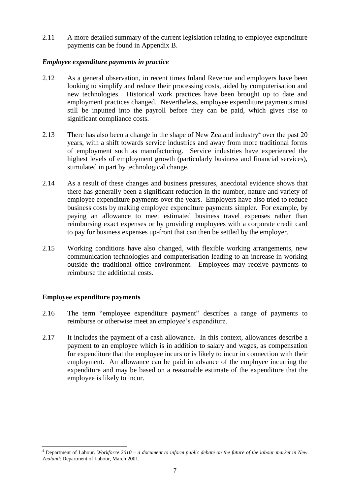2.11 A more detailed summary of the current legislation relating to employee expenditure payments can be found in Appendix B.

# *Employee expenditure payments in practice*

- 2.12 As a general observation, in recent times Inland Revenue and employers have been looking to simplify and reduce their processing costs, aided by computerisation and new technologies. Historical work practices have been brought up to date and employment practices changed. Nevertheless, employee expenditure payments must still be inputted into the payroll before they can be paid, which gives rise to significant compliance costs.
- 2.13 There has also been a change in the shape of New Zealand industry<sup>4</sup> over the past 20 years, with a shift towards service industries and away from more traditional forms of employment such as manufacturing. Service industries have experienced the highest levels of employment growth (particularly business and financial services), stimulated in part by technological change.
- 2.14 As a result of these changes and business pressures, anecdotal evidence shows that there has generally been a significant reduction in the number, nature and variety of employee expenditure payments over the years. Employers have also tried to reduce business costs by making employee expenditure payments simpler. For example, by paying an allowance to meet estimated business travel expenses rather than reimbursing exact expenses or by providing employees with a corporate credit card to pay for business expenses up-front that can then be settled by the employer.
- 2.15 Working conditions have also changed, with flexible working arrangements, new communication technologies and computerisation leading to an increase in working outside the traditional office environment. Employees may receive payments to reimburse the additional costs.

#### **Employee expenditure payments**

- 2.16 The term "employee expenditure payment" describes a range of payments to reimburse or otherwise meet an employee's expenditure.
- 2.17 It includes the payment of a cash allowance. In this context, allowances describe a payment to an employee which is in addition to salary and wages, as compensation for expenditure that the employee incurs or is likely to incur in connection with their employment. An allowance can be paid in advance of the employee incurring the expenditure and may be based on a reasonable estimate of the expenditure that the employee is likely to incur.

**<sup>.</sup>** <sup>4</sup> Department of Labour. *Workforce 2010 – a document to inform public debate on the future of the labour market in New Zealand*: Department of Labour, March 2001.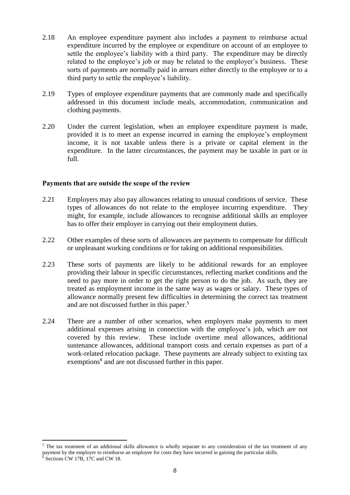- 2.18 An employee expenditure payment also includes a payment to reimburse actual expenditure incurred by the employee or expenditure on account of an employee to settle the employee's liability with a third party. The expenditure may be directly related to the employee's job or may be related to the employer's business. These sorts of payments are normally paid in arrears either directly to the employee or to a third party to settle the employee's liability.
- 2.19 Types of employee expenditure payments that are commonly made and specifically addressed in this document include meals, accommodation, communication and clothing payments.
- 2.20 Under the current legislation, when an employee expenditure payment is made, provided it is to meet an expense incurred in earning the employee's employment income, it is not taxable unless there is a private or capital element in the expenditure. In the latter circumstances, the payment may be taxable in part or in full.

#### **Payments that are outside the scope of the review**

 $\overline{a}$ 

- 2.21 Employers may also pay allowances relating to unusual conditions of service. These types of allowances do not relate to the employee incurring expenditure. They might, for example, include allowances to recognise additional skills an employee has to offer their employer in carrying out their employment duties.
- 2.22 Other examples of these sorts of allowances are payments to compensate for difficult or unpleasant working conditions or for taking on additional responsibilities.
- 2.23 These sorts of payments are likely to be additional rewards for an employee providing their labour in specific circumstances, reflecting market conditions and the need to pay more in order to get the right person to do the job. As such, they are treated as employment income in the same way as wages or salary. These types of allowance normally present few difficulties in determining the correct tax treatment and are not discussed further in this paper. 5
- 2.24 There are a number of other scenarios, when employers make payments to meet additional expenses arising in connection with the employee's job, which are not covered by this review. These include overtime meal allowances, additional sustenance allowances, additional transport costs and certain expenses as part of a work-related relocation package. These payments are already subject to existing tax exemptions<sup>6</sup> and are not discussed further in this paper.

<sup>&</sup>lt;sup>5</sup> The tax treatment of an additional skills allowance is wholly separate to any consideration of the tax treatment of any payment by the employer to reimburse an employee for costs they have incurred in gaining the particular skills. Sections CW 17B, 17C and CW 18.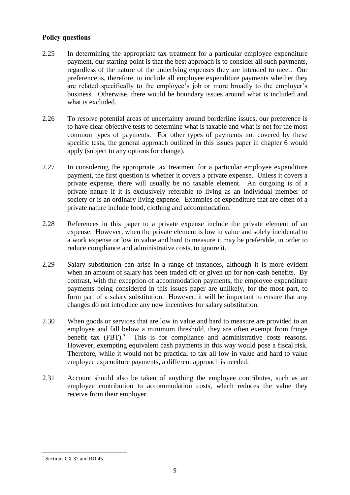#### **Policy questions**

- 2.25 In determining the appropriate tax treatment for a particular employee expenditure payment, our starting point is that the best approach is to consider all such payments, regardless of the nature of the underlying expenses they are intended to meet. Our preference is, therefore, to include all employee expenditure payments whether they are related specifically to the employee's job or more broadly to the employer's business. Otherwise, there would be boundary issues around what is included and what is excluded.
- 2.26 To resolve potential areas of uncertainty around borderline issues, our preference is to have clear objective tests to determine what is taxable and what is not for the most common types of payments. For other types of payments not covered by these specific tests, the general approach outlined in this issues paper in chapter 6 would apply (subject to any options for change).
- 2.27 In considering the appropriate tax treatment for a particular employee expenditure payment, the first question is whether it covers a private expense. Unless it covers a private expense, there will usually be no taxable element. An outgoing is of a private nature if it is exclusively referable to living as an individual member of society or is an ordinary living expense. Examples of expenditure that are often of a private nature include food, clothing and accommodation.
- 2.28 References in this paper to a private expense include the private element of an expense. However, when the private element is low in value and solely incidental to a work expense or low in value and hard to measure it may be preferable, in order to reduce compliance and administrative costs, to ignore it.
- 2.29 Salary substitution can arise in a range of instances, although it is more evident when an amount of salary has been traded off or given up for non-cash benefits. By contrast, with the exception of accommodation payments, the employee expenditure payments being considered in this issues paper are unlikely, for the most part, to form part of a salary substitution. However, it will be important to ensure that any changes do not introduce any new incentives for salary substitution.
- 2.30 When goods or services that are low in value and hard to measure are provided to an employee and fall below a minimum threshold, they are often exempt from fringe benefit tax  $(FBT)$ .<sup>7</sup> This is for compliance and administrative costs reasons. However, exempting equivalent cash payments in this way would pose a fiscal risk. Therefore, while it would not be practical to tax all low in value and hard to value employee expenditure payments, a different approach is needed.
- 2.31 Account should also be taken of anything the employee contributes, such as an employee contribution to accommodation costs, which reduces the value they receive from their employer.

 $\overline{a}$ <sup>7</sup> Sections CX 37 and RD 45.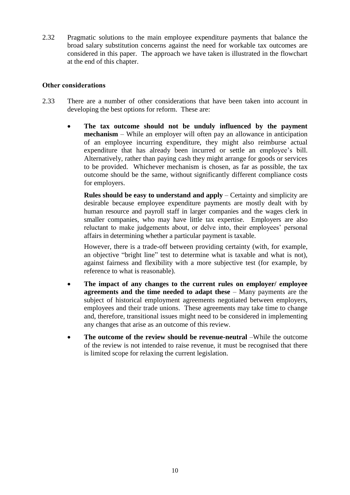2.32 Pragmatic solutions to the main employee expenditure payments that balance the broad salary substitution concerns against the need for workable tax outcomes are considered in this paper. The approach we have taken is illustrated in the flowchart at the end of this chapter.

#### **Other considerations**

- 2.33 There are a number of other considerations that have been taken into account in developing the best options for reform. These are:
	- **The tax outcome should not be unduly influenced by the payment mechanism** – While an employer will often pay an allowance in anticipation of an employee incurring expenditure, they might also reimburse actual expenditure that has already been incurred or settle an employee's bill. Alternatively, rather than paying cash they might arrange for goods or services to be provided. Whichever mechanism is chosen, as far as possible, the tax outcome should be the same, without significantly different compliance costs for employers.

**Rules should be easy to understand and apply** – Certainty and simplicity are desirable because employee expenditure payments are mostly dealt with by human resource and payroll staff in larger companies and the wages clerk in smaller companies, who may have little tax expertise. Employers are also reluctant to make judgements about, or delve into, their employees' personal affairs in determining whether a particular payment is taxable.

However, there is a trade-off between providing certainty (with, for example, an objective "bright line" test to determine what is taxable and what is not), against fairness and flexibility with a more subjective test (for example, by reference to what is reasonable).

- **The impact of any changes to the current rules on employer/ employee agreements and the time needed to adapt these** – Many payments are the subject of historical employment agreements negotiated between employers, employees and their trade unions. These agreements may take time to change and, therefore, transitional issues might need to be considered in implementing any changes that arise as an outcome of this review.
- **The outcome of the review should be revenue-neutral** –While the outcome of the review is not intended to raise revenue, it must be recognised that there is limited scope for relaxing the current legislation.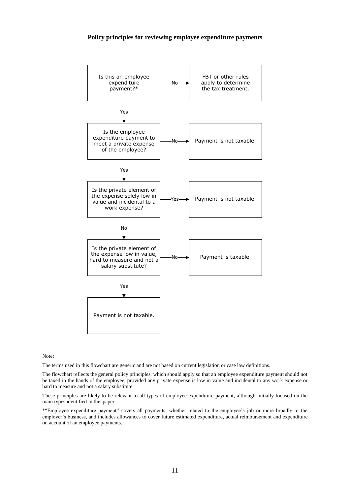#### **Policy principles for reviewing employee expenditure payments**



Note:

The terms used in this flowchart are generic and are not based on current legislation or case law definitions.

The flowchart reflects the general policy principles, which should apply so that an employee expenditure payment should not be taxed in the hands of the employee, provided any private expense is low in value and incidental to any work expense or hard to measure and not a salary substitute.

These principles are likely to be relevant to all types of employee expenditure payment, although initially focused on the main types identified in this paper.

\*"Employee expenditure payment" covers all payments, whether related to the employee's job or more broadly to the employer's business, and includes allowances to cover future estimated expenditure, actual reimbursement and expenditure on account of an employee payments.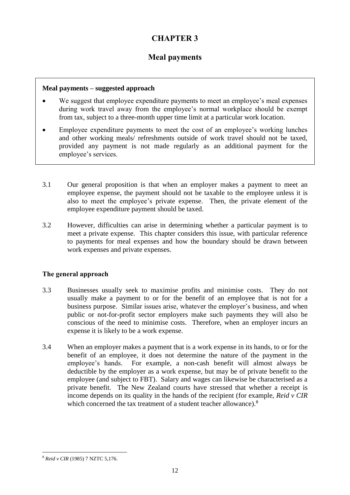# **CHAPTER 3**

# **Meal payments**

# **Meal payments – suggested approach**

- We suggest that employee expenditure payments to meet an employee's meal expenses during work travel away from the employee's normal workplace should be exempt from tax, subject to a three-month upper time limit at a particular work location.
- Employee expenditure payments to meet the cost of an employee's working lunches and other working meals/ refreshments outside of work travel should not be taxed, provided any payment is not made regularly as an additional payment for the employee's services.
- 3.1 Our general proposition is that when an employer makes a payment to meet an employee expense, the payment should not be taxable to the employee unless it is also to meet the employee's private expense. Then, the private element of the employee expenditure payment should be taxed.
- 3.2 However, difficulties can arise in determining whether a particular payment is to meet a private expense. This chapter considers this issue, with particular reference to payments for meal expenses and how the boundary should be drawn between work expenses and private expenses.

# **The general approach**

- 3.3 Businesses usually seek to maximise profits and minimise costs. They do not usually make a payment to or for the benefit of an employee that is not for a business purpose. Similar issues arise, whatever the employer's business, and when public or not-for-profit sector employers make such payments they will also be conscious of the need to minimise costs. Therefore, when an employer incurs an expense it is likely to be a work expense.
- 3.4 When an employer makes a payment that is a work expense in its hands, to or for the benefit of an employee, it does not determine the nature of the payment in the employee's hands. For example, a non-cash benefit will almost always be deductible by the employer as a work expense, but may be of private benefit to the employee (and subject to FBT). Salary and wages can likewise be characterised as a private benefit. The New Zealand courts have stressed that whether a receipt is income depends on its quality in the hands of the recipient (for example, *Reid v CIR* which concerned the tax treatment of a student teacher allowance).<sup>8</sup>

 $\overline{a}$ <sup>8</sup> *Reid v CIR* (1985) 7 NZTC 5,176.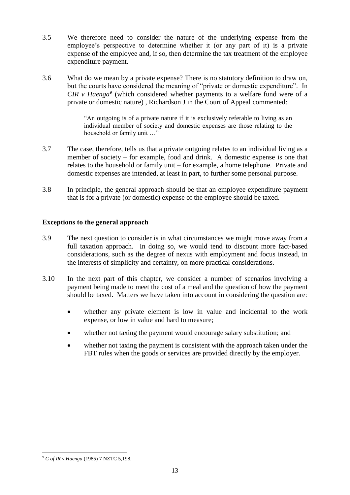- 3.5 We therefore need to consider the nature of the underlying expense from the employee's perspective to determine whether it (or any part of it) is a private expense of the employee and, if so, then determine the tax treatment of the employee expenditure payment.
- 3.6 What do we mean by a private expense? There is no statutory definition to draw on, but the courts have considered the meaning of "private or domestic expenditure". In *CIR v Haenga*<sup>9</sup> (which considered whether payments to a welfare fund were of a private or domestic nature) , Richardson J in the Court of Appeal commented:

"An outgoing is of a private nature if it is exclusively referable to living as an individual member of society and domestic expenses are those relating to the household or family unit …"

- 3.7 The case, therefore, tells us that a private outgoing relates to an individual living as a member of society – for example, food and drink. A domestic expense is one that relates to the household or family unit – for example, a home telephone. Private and domestic expenses are intended, at least in part, to further some personal purpose.
- 3.8 In principle, the general approach should be that an employee expenditure payment that is for a private (or domestic) expense of the employee should be taxed.

#### **Exceptions to the general approach**

- 3.9 The next question to consider is in what circumstances we might move away from a full taxation approach. In doing so, we would tend to discount more fact-based considerations, such as the degree of nexus with employment and focus instead, in the interests of simplicity and certainty, on more practical considerations.
- 3.10 In the next part of this chapter, we consider a number of scenarios involving a payment being made to meet the cost of a meal and the question of how the payment should be taxed. Matters we have taken into account in considering the question are:
	- whether any private element is low in value and incidental to the work expense, or low in value and hard to measure;
	- whether not taxing the payment would encourage salary substitution; and
	- whether not taxing the payment is consistent with the approach taken under the FBT rules when the goods or services are provided directly by the employer.

 $\overline{a}$ <sup>9</sup> *C of IR v Haenga* (1985) 7 NZTC 5,198.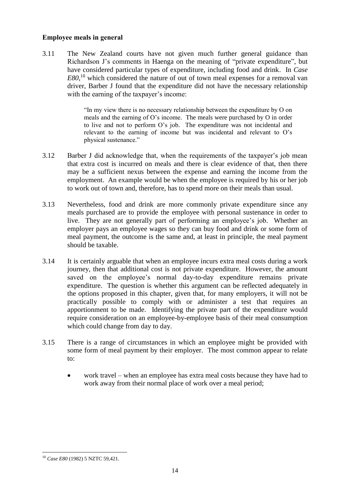#### **Employee meals in general**

3.11 The New Zealand courts have not given much further general guidance than Richardson J's comments in Haenga on the meaning of "private expenditure", but have considered particular types of expenditure, including food and drink. In *Case E80*, <sup>10</sup> which considered the nature of out of town meal expenses for a removal van driver, Barber J found that the expenditure did not have the necessary relationship with the earning of the taxpayer's income:

> "In my view there is no necessary relationship between the expenditure by O on meals and the earning of O's income. The meals were purchased by O in order to live and not to perform O's job. The expenditure was not incidental and relevant to the earning of income but was incidental and relevant to O's physical sustenance."

- 3.12 Barber J did acknowledge that, when the requirements of the taxpayer's job mean that extra cost is incurred on meals and there is clear evidence of that, then there may be a sufficient nexus between the expense and earning the income from the employment. An example would be when the employee is required by his or her job to work out of town and, therefore, has to spend more on their meals than usual.
- 3.13 Nevertheless, food and drink are more commonly private expenditure since any meals purchased are to provide the employee with personal sustenance in order to live. They are not generally part of performing an employee's job. Whether an employer pays an employee wages so they can buy food and drink or some form of meal payment, the outcome is the same and, at least in principle, the meal payment should be taxable.
- 3.14 It is certainly arguable that when an employee incurs extra meal costs during a work journey, then that additional cost is not private expenditure. However, the amount saved on the employee's normal day-to-day expenditure remains private expenditure. The question is whether this argument can be reflected adequately in the options proposed in this chapter, given that, for many employers, it will not be practically possible to comply with or administer a test that requires an apportionment to be made. Identifying the private part of the expenditure would require consideration on an employee-by-employee basis of their meal consumption which could change from day to day.
- 3.15 There is a range of circumstances in which an employee might be provided with some form of meal payment by their employer. The most common appear to relate to:
	- work travel when an employee has extra meal costs because they have had to work away from their normal place of work over a meal period;

 $\overline{a}$ <sup>10</sup> *Case E80* (1982) 5 NZTC 59,421.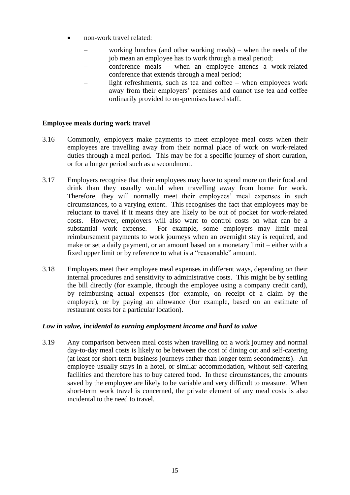- non-work travel related:
	- working lunches (and other working meals) when the needs of the job mean an employee has to work through a meal period;
	- conference meals when an employee attends a work-related conference that extends through a meal period;
	- light refreshments, such as tea and coffee when employees work away from their employers' premises and cannot use tea and coffee ordinarily provided to on-premises based staff.

# **Employee meals during work travel**

- 3.16 Commonly, employers make payments to meet employee meal costs when their employees are travelling away from their normal place of work on work-related duties through a meal period. This may be for a specific journey of short duration, or for a longer period such as a secondment.
- 3.17 Employers recognise that their employees may have to spend more on their food and drink than they usually would when travelling away from home for work. Therefore, they will normally meet their employees' meal expenses in such circumstances, to a varying extent. This recognises the fact that employees may be reluctant to travel if it means they are likely to be out of pocket for work-related costs. However, employers will also want to control costs on what can be a substantial work expense. For example, some employers may limit meal reimbursement payments to work journeys when an overnight stay is required, and make or set a daily payment, or an amount based on a monetary limit – either with a fixed upper limit or by reference to what is a "reasonable" amount.
- 3.18 Employers meet their employee meal expenses in different ways, depending on their internal procedures and sensitivity to administrative costs. This might be by settling the bill directly (for example, through the employee using a company credit card), by reimbursing actual expenses (for example, on receipt of a claim by the employee), or by paying an allowance (for example, based on an estimate of restaurant costs for a particular location).

# *Low in value, incidental to earning employment income and hard to value*

3.19 Any comparison between meal costs when travelling on a work journey and normal day-to-day meal costs is likely to be between the cost of dining out and self-catering (at least for short-term business journeys rather than longer term secondments). An employee usually stays in a hotel, or similar accommodation, without self-catering facilities and therefore has to buy catered food. In these circumstances, the amounts saved by the employee are likely to be variable and very difficult to measure. When short-term work travel is concerned, the private element of any meal costs is also incidental to the need to travel.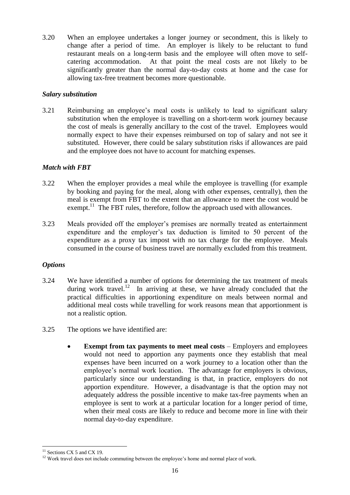3.20 When an employee undertakes a longer journey or secondment, this is likely to change after a period of time. An employer is likely to be reluctant to fund restaurant meals on a long-term basis and the employee will often move to selfcatering accommodation. At that point the meal costs are not likely to be significantly greater than the normal day-to-day costs at home and the case for allowing tax-free treatment becomes more questionable.

# *Salary substitution*

3.21 Reimbursing an employee's meal costs is unlikely to lead to significant salary substitution when the employee is travelling on a short-term work journey because the cost of meals is generally ancillary to the cost of the travel. Employees would normally expect to have their expenses reimbursed on top of salary and not see it substituted. However, there could be salary substitution risks if allowances are paid and the employee does not have to account for matching expenses.

# *Match with FBT*

- 3.22 When the employer provides a meal while the employee is travelling (for example by booking and paying for the meal, along with other expenses, centrally), then the meal is exempt from FBT to the extent that an allowance to meet the cost would be exempt.<sup>11</sup> The FBT rules, therefore, follow the approach used with allowances.
- 3.23 Meals provided off the employer's premises are normally treated as entertainment expenditure and the employer's tax deduction is limited to 50 percent of the expenditure as a proxy tax impost with no tax charge for the employee. Meals consumed in the course of business travel are normally excluded from this treatment.

# *Options*

- 3.24 We have identified a number of options for determining the tax treatment of meals during work travel.<sup>12</sup> In arriving at these, we have already concluded that the practical difficulties in apportioning expenditure on meals between normal and additional meal costs while travelling for work reasons mean that apportionment is not a realistic option.
- 3.25 The options we have identified are:
	- **Exempt from tax payments to meet meal costs**  Employers and employees would not need to apportion any payments once they establish that meal expenses have been incurred on a work journey to a location other than the employee's normal work location. The advantage for employers is obvious, particularly since our understanding is that, in practice, employers do not apportion expenditure. However, a disadvantage is that the option may not adequately address the possible incentive to make tax-free payments when an employee is sent to work at a particular location for a longer period of time, when their meal costs are likely to reduce and become more in line with their normal day-to-day expenditure.

**<sup>.</sup>**  $11$  Sections CX 5 and CX 19.

<sup>&</sup>lt;sup>12</sup> Work travel does not include commuting between the employee's home and normal place of work.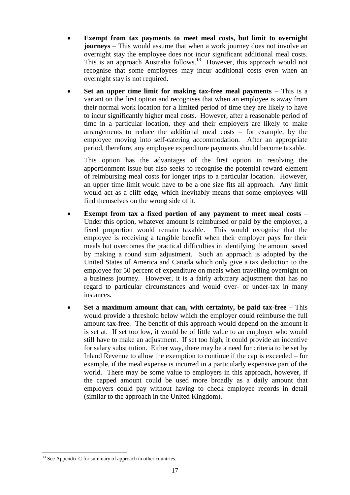- **Exempt from tax payments to meet meal costs, but limit to overnight journeys** – This would assume that when a work journey does not involve an overnight stay the employee does not incur significant additional meal costs. This is an approach Australia follows.<sup>13</sup> However, this approach would not recognise that some employees may incur additional costs even when an overnight stay is not required.
- **Set an upper time limit for making tax-free meal payments** This is a variant on the first option and recognises that when an employee is away from their normal work location for a limited period of time they are likely to have to incur significantly higher meal costs. However, after a reasonable period of time in a particular location, they and their employers are likely to make arrangements to reduce the additional meal costs – for example, by the employee moving into self-catering accommodation. After an appropriate period, therefore, any employee expenditure payments should become taxable.

This option has the advantages of the first option in resolving the apportionment issue but also seeks to recognise the potential reward element of reimbursing meal costs for longer trips to a particular location. However, an upper time limit would have to be a one size fits all approach. Any limit would act as a cliff edge, which inevitably means that some employees will find themselves on the wrong side of it.

- **Exempt from tax a fixed portion of any payment to meet meal costs**  Under this option, whatever amount is reimbursed or paid by the employer, a fixed proportion would remain taxable. This would recognise that the employee is receiving a tangible benefit when their employer pays for their meals but overcomes the practical difficulties in identifying the amount saved by making a round sum adjustment. Such an approach is adopted by the United States of America and Canada which only give a tax deduction to the employee for 50 percent of expenditure on meals when travelling overnight on a business journey. However, it is a fairly arbitrary adjustment that has no regard to particular circumstances and would over- or under-tax in many instances.
- **Set a maximum amount that can, with certainty, be paid tax-free** This would provide a threshold below which the employer could reimburse the full amount tax-free. The benefit of this approach would depend on the amount it is set at. If set too low, it would be of little value to an employer who would still have to make an adjustment. If set too high, it could provide an incentive for salary substitution. Either way, there may be a need for criteria to be set by Inland Revenue to allow the exemption to continue if the cap is exceeded – for example, if the meal expense is incurred in a particularly expensive part of the world. There may be some value to employers in this approach, however, if the capped amount could be used more broadly as a daily amount that employers could pay without having to check employee records in detail (similar to the approach in the United Kingdom).

 $\overline{a}$ 

 $13$  See Appendix C for summary of approach in other countries.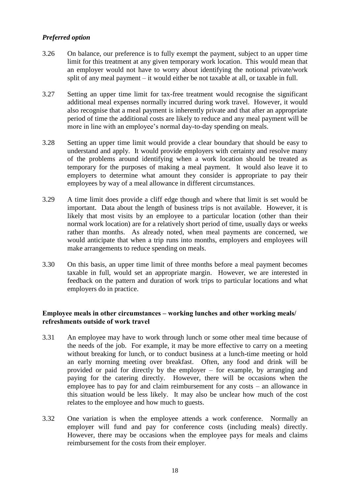# *Preferred option*

- 3.26 On balance, our preference is to fully exempt the payment, subject to an upper time limit for this treatment at any given temporary work location. This would mean that an employer would not have to worry about identifying the notional private/work split of any meal payment – it would either be not taxable at all, or taxable in full.
- 3.27 Setting an upper time limit for tax-free treatment would recognise the significant additional meal expenses normally incurred during work travel. However, it would also recognise that a meal payment is inherently private and that after an appropriate period of time the additional costs are likely to reduce and any meal payment will be more in line with an employee's normal day-to-day spending on meals.
- 3.28 Setting an upper time limit would provide a clear boundary that should be easy to understand and apply. It would provide employers with certainty and resolve many of the problems around identifying when a work location should be treated as temporary for the purposes of making a meal payment. It would also leave it to employers to determine what amount they consider is appropriate to pay their employees by way of a meal allowance in different circumstances.
- 3.29 A time limit does provide a cliff edge though and where that limit is set would be important. Data about the length of business trips is not available. However, it is likely that most visits by an employee to a particular location (other than their normal work location) are for a relatively short period of time, usually days or weeks rather than months. As already noted, when meal payments are concerned, we would anticipate that when a trip runs into months, employers and employees will make arrangements to reduce spending on meals.
- 3.30 On this basis, an upper time limit of three months before a meal payment becomes taxable in full, would set an appropriate margin. However, we are interested in feedback on the pattern and duration of work trips to particular locations and what employers do in practice.

# **Employee meals in other circumstances – working lunches and other working meals/ refreshments outside of work travel**

- 3.31 An employee may have to work through lunch or some other meal time because of the needs of the job. For example, it may be more effective to carry on a meeting without breaking for lunch, or to conduct business at a lunch-time meeting or hold an early morning meeting over breakfast. Often, any food and drink will be provided or paid for directly by the employer – for example, by arranging and paying for the catering directly. However, there will be occasions when the employee has to pay for and claim reimbursement for any costs – an allowance in this situation would be less likely. It may also be unclear how much of the cost relates to the employee and how much to guests.
- 3.32 One variation is when the employee attends a work conference. Normally an employer will fund and pay for conference costs (including meals) directly. However, there may be occasions when the employee pays for meals and claims reimbursement for the costs from their employer.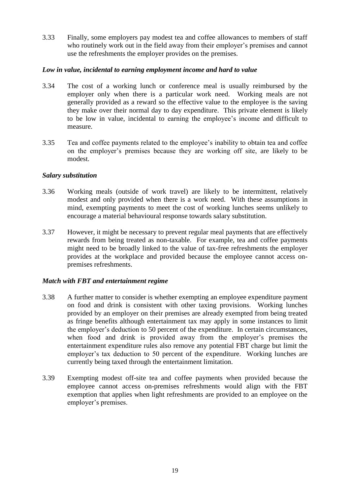3.33 Finally, some employers pay modest tea and coffee allowances to members of staff who routinely work out in the field away from their employer's premises and cannot use the refreshments the employer provides on the premises.

#### *Low in value, incidental to earning employment income and hard to value*

- 3.34 The cost of a working lunch or conference meal is usually reimbursed by the employer only when there is a particular work need. Working meals are not generally provided as a reward so the effective value to the employee is the saving they make over their normal day to day expenditure. This private element is likely to be low in value, incidental to earning the employee's income and difficult to measure.
- 3.35 Tea and coffee payments related to the employee's inability to obtain tea and coffee on the employer's premises because they are working off site, are likely to be modest.

#### *Salary substitution*

- 3.36 Working meals (outside of work travel) are likely to be intermittent, relatively modest and only provided when there is a work need. With these assumptions in mind, exempting payments to meet the cost of working lunches seems unlikely to encourage a material behavioural response towards salary substitution.
- 3.37 However, it might be necessary to prevent regular meal payments that are effectively rewards from being treated as non-taxable. For example, tea and coffee payments might need to be broadly linked to the value of tax-free refreshments the employer provides at the workplace and provided because the employee cannot access onpremises refreshments.

# *Match with FBT and entertainment regime*

- 3.38 A further matter to consider is whether exempting an employee expenditure payment on food and drink is consistent with other taxing provisions. Working lunches provided by an employer on their premises are already exempted from being treated as fringe benefits although entertainment tax may apply in some instances to limit the employer's deduction to 50 percent of the expenditure. In certain circumstances, when food and drink is provided away from the employer's premises the entertainment expenditure rules also remove any potential FBT charge but limit the employer's tax deduction to 50 percent of the expenditure. Working lunches are currently being taxed through the entertainment limitation.
- 3.39 Exempting modest off-site tea and coffee payments when provided because the employee cannot access on-premises refreshments would align with the FBT exemption that applies when light refreshments are provided to an employee on the employer's premises.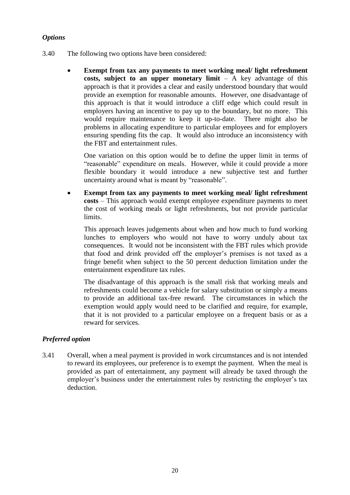# *Options*

- 3.40 The following two options have been considered:
	- **Exempt from tax any payments to meet working meal/ light refreshment costs, subject to an upper monetary limit** – A key advantage of this approach is that it provides a clear and easily understood boundary that would provide an exemption for reasonable amounts. However, one disadvantage of this approach is that it would introduce a cliff edge which could result in employers having an incentive to pay up to the boundary, but no more. This would require maintenance to keep it up-to-date. There might also be problems in allocating expenditure to particular employees and for employers ensuring spending fits the cap. It would also introduce an inconsistency with the FBT and entertainment rules.

One variation on this option would be to define the upper limit in terms of "reasonable" expenditure on meals. However, while it could provide a more flexible boundary it would introduce a new subjective test and further uncertainty around what is meant by "reasonable".

 **Exempt from tax any payments to meet working meal/ light refreshment costs** – This approach would exempt employee expenditure payments to meet the cost of working meals or light refreshments, but not provide particular limits.

This approach leaves judgements about when and how much to fund working lunches to employers who would not have to worry unduly about tax consequences. It would not be inconsistent with the FBT rules which provide that food and drink provided off the employer's premises is not taxed as a fringe benefit when subject to the 50 percent deduction limitation under the entertainment expenditure tax rules.

The disadvantage of this approach is the small risk that working meals and refreshments could become a vehicle for salary substitution or simply a means to provide an additional tax-free reward. The circumstances in which the exemption would apply would need to be clarified and require, for example, that it is not provided to a particular employee on a frequent basis or as a reward for services.

# *Preferred option*

3.41 Overall, when a meal payment is provided in work circumstances and is not intended to reward its employees, our preference is to exempt the payment. When the meal is provided as part of entertainment, any payment will already be taxed through the employer's business under the entertainment rules by restricting the employer's tax deduction.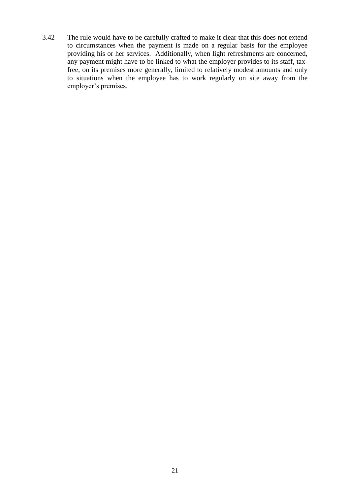3.42 The rule would have to be carefully crafted to make it clear that this does not extend to circumstances when the payment is made on a regular basis for the employee providing his or her services. Additionally, when light refreshments are concerned, any payment might have to be linked to what the employer provides to its staff, taxfree, on its premises more generally, limited to relatively modest amounts and only to situations when the employee has to work regularly on site away from the employer's premises.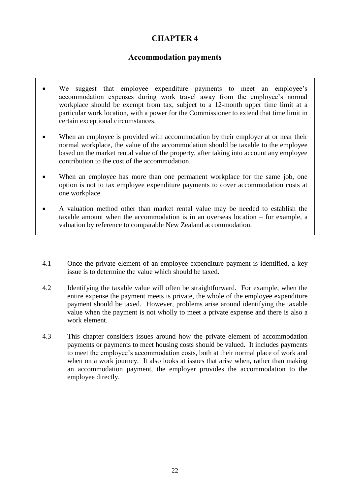# **CHAPTER 4**

# **Accommodation payments**

- We suggest that employee expenditure payments to meet an employee's accommodation expenses during work travel away from the employee's normal workplace should be exempt from tax, subject to a 12-month upper time limit at a particular work location, with a power for the Commissioner to extend that time limit in certain exceptional circumstances.
- When an employee is provided with accommodation by their employer at or near their normal workplace, the value of the accommodation should be taxable to the employee based on the market rental value of the property, after taking into account any employee contribution to the cost of the accommodation.
- When an employee has more than one permanent workplace for the same job, one option is not to tax employee expenditure payments to cover accommodation costs at one workplace.
- A valuation method other than market rental value may be needed to establish the taxable amount when the accommodation is in an overseas location – for example, a valuation by reference to comparable New Zealand accommodation.
- 4.1 Once the private element of an employee expenditure payment is identified, a key issue is to determine the value which should be taxed.
- 4.2 Identifying the taxable value will often be straightforward. For example, when the entire expense the payment meets is private, the whole of the employee expenditure payment should be taxed. However, problems arise around identifying the taxable value when the payment is not wholly to meet a private expense and there is also a work element.
- 4.3 This chapter considers issues around how the private element of accommodation payments or payments to meet housing costs should be valued. It includes payments to meet the employee's accommodation costs, both at their normal place of work and when on a work journey. It also looks at issues that arise when, rather than making an accommodation payment, the employer provides the accommodation to the employee directly.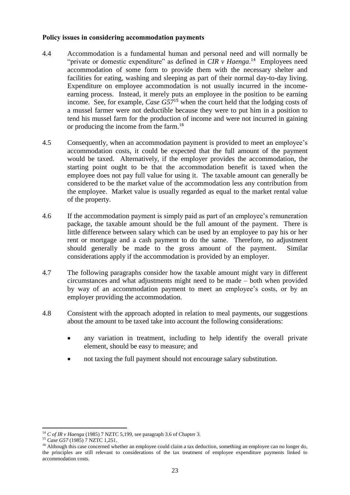#### **Policy issues in considering accommodation payments**

- 4.4 Accommodation is a fundamental human and personal need and will normally be "private or domestic expenditure" as defined in *CIR v Haenga*.<sup>14</sup> Employees need accommodation of some form to provide them with the necessary shelter and facilities for eating, washing and sleeping as part of their normal day-to-day living. Expenditure on employee accommodation is not usually incurred in the incomeearning process. Instead, it merely puts an employee in the position to be earning income. See, for example, *Case G57*<sup>15</sup> when the court held that the lodging costs of a mussel farmer were not deductible because they were to put him in a position to tend his mussel farm for the production of income and were not incurred in gaining or producing the income from the farm. 16
- 4.5 Consequently, when an accommodation payment is provided to meet an employee's accommodation costs, it could be expected that the full amount of the payment would be taxed. Alternatively, if the employer provides the accommodation, the starting point ought to be that the accommodation benefit is taxed when the employee does not pay full value for using it. The taxable amount can generally be considered to be the market value of the accommodation less any contribution from the employee. Market value is usually regarded as equal to the market rental value of the property.
- 4.6 If the accommodation payment is simply paid as part of an employee's remuneration package, the taxable amount should be the full amount of the payment. There is little difference between salary which can be used by an employee to pay his or her rent or mortgage and a cash payment to do the same. Therefore, no adjustment should generally be made to the gross amount of the payment. Similar considerations apply if the accommodation is provided by an employer.
- 4.7 The following paragraphs consider how the taxable amount might vary in different circumstances and what adjustments might need to be made – both when provided by way of an accommodation payment to meet an employee's costs, or by an employer providing the accommodation.
- 4.8 Consistent with the approach adopted in relation to meal payments, our suggestions about the amount to be taxed take into account the following considerations:
	- any variation in treatment, including to help identify the overall private element, should be easy to measure; and
	- not taxing the full payment should not encourage salary substitution.

**<sup>.</sup>** <sup>14</sup> *C of IR v Haenga* (1985) 7 NZTC 5,199, see paragraph 3.6 of Chapter 3.

<sup>15</sup> *Case G57* (1985) 7 NZTC 1,251.

 $16$  Although this case concerned whether an employee could claim a tax deduction, something an employee can no longer do, the principles are still relevant to considerations of the tax treatment of employee expenditure payments linked to accommodation costs.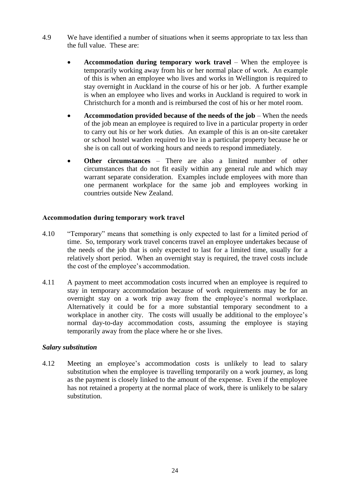- 4.9 We have identified a number of situations when it seems appropriate to tax less than the full value. These are:
	- **Accommodation during temporary work travel** When the employee is temporarily working away from his or her normal place of work. An example of this is when an employee who lives and works in Wellington is required to stay overnight in Auckland in the course of his or her job. A further example is when an employee who lives and works in Auckland is required to work in Christchurch for a month and is reimbursed the cost of his or her motel room.
	- **Accommodation provided because of the needs of the job** When the needs of the job mean an employee is required to live in a particular property in order to carry out his or her work duties. An example of this is an on-site caretaker or school hostel warden required to live in a particular property because he or she is on call out of working hours and needs to respond immediately.
	- **Other circumstances** There are also a limited number of other circumstances that do not fit easily within any general rule and which may warrant separate consideration. Examples include employees with more than one permanent workplace for the same job and employees working in countries outside New Zealand.

#### **Accommodation during temporary work travel**

- 4.10 "Temporary" means that something is only expected to last for a limited period of time. So, temporary work travel concerns travel an employee undertakes because of the needs of the job that is only expected to last for a limited time, usually for a relatively short period. When an overnight stay is required, the travel costs include the cost of the employee's accommodation.
- 4.11 A payment to meet accommodation costs incurred when an employee is required to stay in temporary accommodation because of work requirements may be for an overnight stay on a work trip away from the employee's normal workplace. Alternatively it could be for a more substantial temporary secondment to a workplace in another city. The costs will usually be additional to the employee's normal day-to-day accommodation costs, assuming the employee is staying temporarily away from the place where he or she lives.

#### *Salary substitution*

4.12 Meeting an employee's accommodation costs is unlikely to lead to salary substitution when the employee is travelling temporarily on a work journey, as long as the payment is closely linked to the amount of the expense. Even if the employee has not retained a property at the normal place of work, there is unlikely to be salary substitution.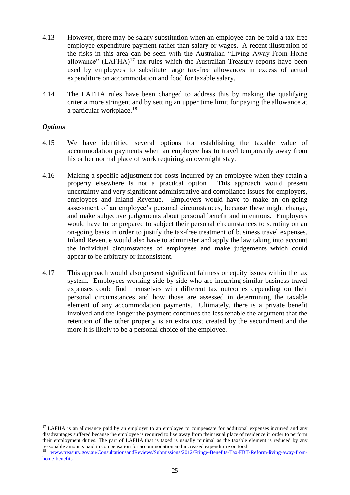- 4.13 However, there may be salary substitution when an employee can be paid a tax-free employee expenditure payment rather than salary or wages. A recent illustration of the risks in this area can be seen with the Australian "Living Away From Home allowance"  $(LAFHA)^{17}$  tax rules which the Australian Treasury reports have been used by employees to substitute large tax-free allowances in excess of actual expenditure on accommodation and food for taxable salary.
- 4.14 The LAFHA rules have been changed to address this by making the qualifying criteria more stringent and by setting an upper time limit for paying the allowance at a particular workplace. 18

#### *Options*

 $\overline{a}$ 

- 4.15 We have identified several options for establishing the taxable value of accommodation payments when an employee has to travel temporarily away from his or her normal place of work requiring an overnight stay.
- 4.16 Making a specific adjustment for costs incurred by an employee when they retain a property elsewhere is not a practical option. This approach would present uncertainty and very significant administrative and compliance issues for employers, employees and Inland Revenue. Employers would have to make an on-going assessment of an employee's personal circumstances, because these might change, and make subjective judgements about personal benefit and intentions. Employees would have to be prepared to subject their personal circumstances to scrutiny on an on-going basis in order to justify the tax-free treatment of business travel expenses. Inland Revenue would also have to administer and apply the law taking into account the individual circumstances of employees and make judgements which could appear to be arbitrary or inconsistent.
- 4.17 This approach would also present significant fairness or equity issues within the tax system. Employees working side by side who are incurring similar business travel expenses could find themselves with different tax outcomes depending on their personal circumstances and how those are assessed in determining the taxable element of any accommodation payments. Ultimately, there is a private benefit involved and the longer the payment continues the less tenable the argument that the retention of the other property is an extra cost created by the secondment and the more it is likely to be a personal choice of the employee.

 $17$  LAFHA is an allowance paid by an employer to an employee to compensate for additional expenses incurred and any disadvantages suffered because the employee is required to live away from their usual place of residence in order to perform their employment duties. The part of LAFHA that is taxed is usually minimal as the taxable element is reduced by any reasonable amounts paid in compensation for accommodation and increased expenditure on food.

[www.treasury.gov.au/ConsultationsandReviews/Submissions/2012/Fringe-Benefits-Tax-FBT-Reform-living-away-from](http://www.treasury.gov.au/ConsultationsandReviews/Submissions/2012/Fringe-Benefits-Tax-FBT-Reform-living-away-from-home-benefits)[home-benefits](http://www.treasury.gov.au/ConsultationsandReviews/Submissions/2012/Fringe-Benefits-Tax-FBT-Reform-living-away-from-home-benefits)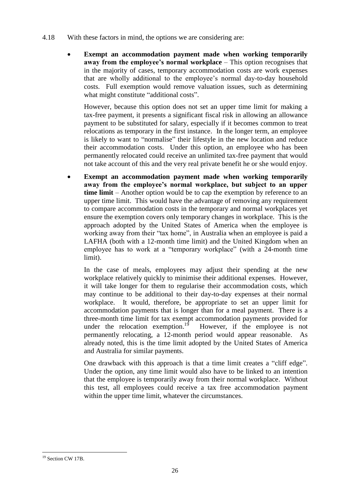- 4.18 With these factors in mind, the options we are considering are:
	- **Exempt an accommodation payment made when working temporarily away from the employee's normal workplace – This option recognises that** in the majority of cases, temporary accommodation costs are work expenses that are wholly additional to the employee's normal day-to-day household costs. Full exemption would remove valuation issues, such as determining what might constitute "additional costs".

However, because this option does not set an upper time limit for making a tax-free payment, it presents a significant fiscal risk in allowing an allowance payment to be substituted for salary, especially if it becomes common to treat relocations as temporary in the first instance. In the longer term, an employee is likely to want to "normalise" their lifestyle in the new location and reduce their accommodation costs. Under this option, an employee who has been permanently relocated could receive an unlimited tax-free payment that would not take account of this and the very real private benefit he or she would enjoy.

 **Exempt an accommodation payment made when working temporarily away from the employee's normal workplace, but subject to an upper time limit** – Another option would be to cap the exemption by reference to an upper time limit. This would have the advantage of removing any requirement to compare accommodation costs in the temporary and normal workplaces yet ensure the exemption covers only temporary changes in workplace. This is the approach adopted by the United States of America when the employee is working away from their "tax home", in Australia when an employee is paid a LAFHA (both with a 12-month time limit) and the United Kingdom when an employee has to work at a "temporary workplace" (with a 24-month time limit).

In the case of meals, employees may adjust their spending at the new workplace relatively quickly to minimise their additional expenses. However, it will take longer for them to regularise their accommodation costs, which may continue to be additional to their day-to-day expenses at their normal workplace. It would, therefore, be appropriate to set an upper limit for accommodation payments that is longer than for a meal payment. There is a three-month time limit for tax exempt accommodation payments provided for under the relocation exemption.<sup>19</sup> However, if the employee is not permanently relocating, a 12-month period would appear reasonable. As already noted, this is the time limit adopted by the United States of America and Australia for similar payments.

One drawback with this approach is that a time limit creates a "cliff edge". Under the option, any time limit would also have to be linked to an intention that the employee is temporarily away from their normal workplace. Without this test, all employees could receive a tax free accommodation payment within the upper time limit, whatever the circumstances.

 $\overline{a}$ <sup>19</sup> Section CW 17B.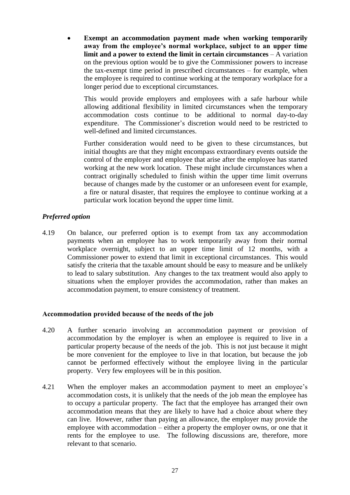**Exempt an accommodation payment made when working temporarily away from the employee's normal workplace, subject to an upper time limit and a power to extend the limit in certain circumstances** – A variation on the previous option would be to give the Commissioner powers to increase the tax-exempt time period in prescribed circumstances – for example, when the employee is required to continue working at the temporary workplace for a longer period due to exceptional circumstances.

This would provide employers and employees with a safe harbour while allowing additional flexibility in limited circumstances when the temporary accommodation costs continue to be additional to normal day-to-day expenditure. The Commissioner's discretion would need to be restricted to well-defined and limited circumstances.

Further consideration would need to be given to these circumstances, but initial thoughts are that they might encompass extraordinary events outside the control of the employer and employee that arise after the employee has started working at the new work location. These might include circumstances when a contract originally scheduled to finish within the upper time limit overruns because of changes made by the customer or an unforeseen event for example, a fire or natural disaster, that requires the employee to continue working at a particular work location beyond the upper time limit.

# *Preferred option*

4.19 On balance, our preferred option is to exempt from tax any accommodation payments when an employee has to work temporarily away from their normal workplace overnight, subject to an upper time limit of 12 months, with a Commissioner power to extend that limit in exceptional circumstances. This would satisfy the criteria that the taxable amount should be easy to measure and be unlikely to lead to salary substitution. Any changes to the tax treatment would also apply to situations when the employer provides the accommodation, rather than makes an accommodation payment, to ensure consistency of treatment.

# **Accommodation provided because of the needs of the job**

- 4.20 A further scenario involving an accommodation payment or provision of accommodation by the employer is when an employee is required to live in a particular property because of the needs of the job. This is not just because it might be more convenient for the employee to live in that location, but because the job cannot be performed effectively without the employee living in the particular property. Very few employees will be in this position.
- 4.21 When the employer makes an accommodation payment to meet an employee's accommodation costs, it is unlikely that the needs of the job mean the employee has to occupy a particular property. The fact that the employee has arranged their own accommodation means that they are likely to have had a choice about where they can live. However, rather than paying an allowance, the employer may provide the employee with accommodation – either a property the employer owns, or one that it rents for the employee to use. The following discussions are, therefore, more relevant to that scenario.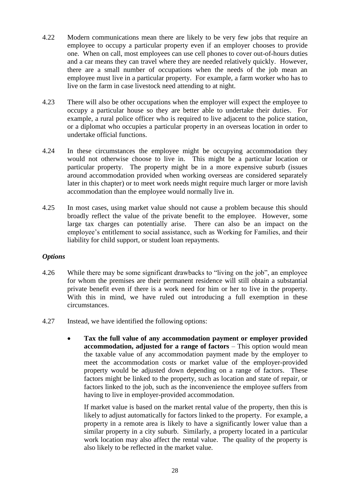- 4.22 Modern communications mean there are likely to be very few jobs that require an employee to occupy a particular property even if an employer chooses to provide one. When on call, most employees can use cell phones to cover out-of-hours duties and a car means they can travel where they are needed relatively quickly. However, there are a small number of occupations when the needs of the job mean an employee must live in a particular property. For example, a farm worker who has to live on the farm in case livestock need attending to at night.
- 4.23 There will also be other occupations when the employer will expect the employee to occupy a particular house so they are better able to undertake their duties. For example, a rural police officer who is required to live adjacent to the police station, or a diplomat who occupies a particular property in an overseas location in order to undertake official functions.
- 4.24 In these circumstances the employee might be occupying accommodation they would not otherwise choose to live in. This might be a particular location or particular property. The property might be in a more expensive suburb (issues around accommodation provided when working overseas are considered separately later in this chapter) or to meet work needs might require much larger or more lavish accommodation than the employee would normally live in.
- 4.25 In most cases, using market value should not cause a problem because this should broadly reflect the value of the private benefit to the employee. However, some large tax charges can potentially arise. There can also be an impact on the employee's entitlement to social assistance, such as Working for Families, and their liability for child support, or student loan repayments.

# *Options*

- 4.26 While there may be some significant drawbacks to "living on the job", an employee for whom the premises are their permanent residence will still obtain a substantial private benefit even if there is a work need for him or her to live in the property. With this in mind, we have ruled out introducing a full exemption in these circumstances.
- 4.27 Instead, we have identified the following options:
	- **Tax the full value of any accommodation payment or employer provided accommodation, adjusted for a range of factors** – This option would mean the taxable value of any accommodation payment made by the employer to meet the accommodation costs or market value of the employer-provided property would be adjusted down depending on a range of factors. These factors might be linked to the property, such as location and state of repair, or factors linked to the job, such as the inconvenience the employee suffers from having to live in employer-provided accommodation.

If market value is based on the market rental value of the property, then this is likely to adjust automatically for factors linked to the property. For example, a property in a remote area is likely to have a significantly lower value than a similar property in a city suburb. Similarly, a property located in a particular work location may also affect the rental value. The quality of the property is also likely to be reflected in the market value.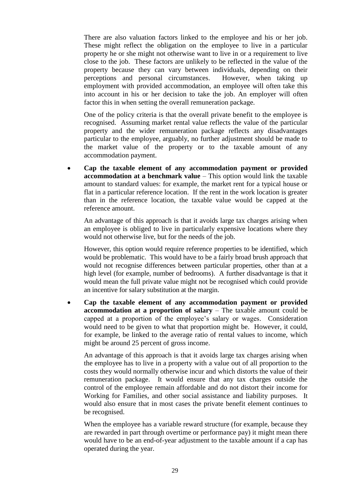There are also valuation factors linked to the employee and his or her job. These might reflect the obligation on the employee to live in a particular property he or she might not otherwise want to live in or a requirement to live close to the job. These factors are unlikely to be reflected in the value of the property because they can vary between individuals, depending on their perceptions and personal circumstances. However, when taking up employment with provided accommodation, an employee will often take this into account in his or her decision to take the job. An employer will often factor this in when setting the overall remuneration package.

One of the policy criteria is that the overall private benefit to the employee is recognised. Assuming market rental value reflects the value of the particular property and the wider remuneration package reflects any disadvantages particular to the employee, arguably, no further adjustment should be made to the market value of the property or to the taxable amount of any accommodation payment.

 **Cap the taxable element of any accommodation payment or provided accommodation at a benchmark value** – This option would link the taxable amount to standard values: for example, the market rent for a typical house or flat in a particular reference location. If the rent in the work location is greater than in the reference location, the taxable value would be capped at the reference amount.

An advantage of this approach is that it avoids large tax charges arising when an employee is obliged to live in particularly expensive locations where they would not otherwise live, but for the needs of the job.

However, this option would require reference properties to be identified, which would be problematic. This would have to be a fairly broad brush approach that would not recognise differences between particular properties, other than at a high level (for example, number of bedrooms). A further disadvantage is that it would mean the full private value might not be recognised which could provide an incentive for salary substitution at the margin.

 **Cap the taxable element of any accommodation payment or provided accommodation at a proportion of salary** – The taxable amount could be capped at a proportion of the employee's salary or wages. Consideration would need to be given to what that proportion might be. However, it could, for example, be linked to the average ratio of rental values to income, which might be around 25 percent of gross income.

An advantage of this approach is that it avoids large tax charges arising when the employee has to live in a property with a value out of all proportion to the costs they would normally otherwise incur and which distorts the value of their remuneration package. It would ensure that any tax charges outside the control of the employee remain affordable and do not distort their income for Working for Families, and other social assistance and liability purposes. It would also ensure that in most cases the private benefit element continues to be recognised.

When the employee has a variable reward structure (for example, because they are rewarded in part through overtime or performance pay) it might mean there would have to be an end-of-year adjustment to the taxable amount if a cap has operated during the year.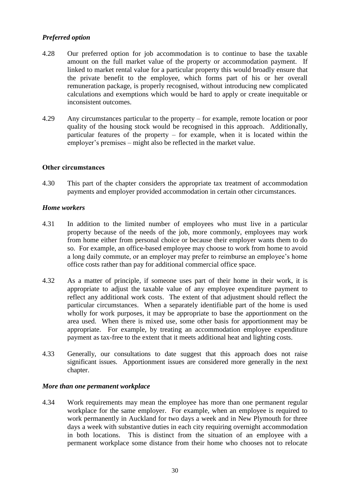# *Preferred option*

- 4.28 Our preferred option for job accommodation is to continue to base the taxable amount on the full market value of the property or accommodation payment. If linked to market rental value for a particular property this would broadly ensure that the private benefit to the employee, which forms part of his or her overall remuneration package, is properly recognised, without introducing new complicated calculations and exemptions which would be hard to apply or create inequitable or inconsistent outcomes.
- 4.29 Any circumstances particular to the property for example, remote location or poor quality of the housing stock would be recognised in this approach. Additionally, particular features of the property – for example, when it is located within the employer's premises – might also be reflected in the market value.

#### **Other circumstances**

4.30 This part of the chapter considers the appropriate tax treatment of accommodation payments and employer provided accommodation in certain other circumstances.

#### *Home workers*

- 4.31 In addition to the limited number of employees who must live in a particular property because of the needs of the job, more commonly, employees may work from home either from personal choice or because their employer wants them to do so. For example, an office-based employee may choose to work from home to avoid a long daily commute, or an employer may prefer to reimburse an employee's home office costs rather than pay for additional commercial office space.
- 4.32 As a matter of principle, if someone uses part of their home in their work, it is appropriate to adjust the taxable value of any employee expenditure payment to reflect any additional work costs. The extent of that adjustment should reflect the particular circumstances. When a separately identifiable part of the home is used wholly for work purposes, it may be appropriate to base the apportionment on the area used. When there is mixed use, some other basis for apportionment may be appropriate. For example, by treating an accommodation employee expenditure payment as tax-free to the extent that it meets additional heat and lighting costs.
- 4.33 Generally, our consultations to date suggest that this approach does not raise significant issues. Apportionment issues are considered more generally in the next chapter.

#### *More than one permanent workplace*

4.34 Work requirements may mean the employee has more than one permanent regular workplace for the same employer. For example, when an employee is required to work permanently in Auckland for two days a week and in New Plymouth for three days a week with substantive duties in each city requiring overnight accommodation in both locations. This is distinct from the situation of an employee with a permanent workplace some distance from their home who chooses not to relocate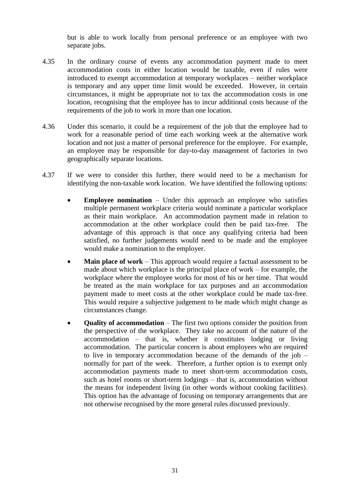but is able to work locally from personal preference or an employee with two separate jobs.

- 4.35 In the ordinary course of events any accommodation payment made to meet accommodation costs in either location would be taxable, even if rules were introduced to exempt accommodation at temporary workplaces – neither workplace is temporary and any upper time limit would be exceeded. However, in certain circumstances, it might be appropriate not to tax the accommodation costs in one location, recognising that the employee has to incur additional costs because of the requirements of the job to work in more than one location.
- 4.36 Under this scenario, it could be a requirement of the job that the employee had to work for a reasonable period of time each working week at the alternative work location and not just a matter of personal preference for the employee. For example, an employee may be responsible for day-to-day management of factories in two geographically separate locations.
- 4.37 If we were to consider this further, there would need to be a mechanism for identifying the non-taxable work location. We have identified the following options:
	- **Employee nomination** Under this approach an employee who satisfies multiple permanent workplace criteria would nominate a particular workplace as their main workplace. An accommodation payment made in relation to accommodation at the other workplace could then be paid tax-free. The advantage of this approach is that once any qualifying criteria had been satisfied, no further judgements would need to be made and the employee would make a nomination to the employer.
	- **Main place of work** This approach would require a factual assessment to be made about which workplace is the principal place of work – for example, the workplace where the employee works for most of his or her time. That would be treated as the main workplace for tax purposes and an accommodation payment made to meet costs at the other workplace could be made tax-free. This would require a subjective judgement to be made which might change as circumstances change.
	- **Quality of accommodation** The first two options consider the position from the perspective of the workplace. They take no account of the nature of the accommodation – that is, whether it constitutes lodging or living accommodation. The particular concern is about employees who are required to live in temporary accommodation because of the demands of the job – normally for part of the week. Therefore, a further option is to exempt only accommodation payments made to meet short-term accommodation costs, such as hotel rooms or short-term lodgings – that is, accommodation without the means for independent living (in other words without cooking facilities). This option has the advantage of focusing on temporary arrangements that are not otherwise recognised by the more general rules discussed previously.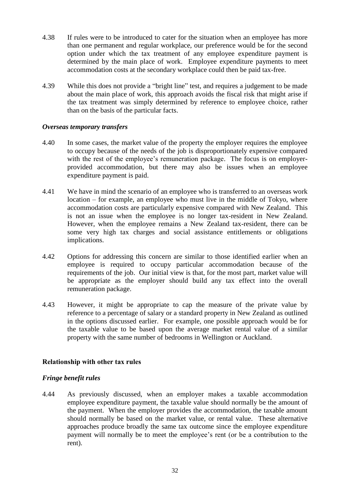- 4.38 If rules were to be introduced to cater for the situation when an employee has more than one permanent and regular workplace, our preference would be for the second option under which the tax treatment of any employee expenditure payment is determined by the main place of work. Employee expenditure payments to meet accommodation costs at the secondary workplace could then be paid tax-free.
- 4.39 While this does not provide a "bright line" test, and requires a judgement to be made about the main place of work, this approach avoids the fiscal risk that might arise if the tax treatment was simply determined by reference to employee choice, rather than on the basis of the particular facts.

#### *Overseas temporary transfers*

- 4.40 In some cases, the market value of the property the employer requires the employee to occupy because of the needs of the job is disproportionately expensive compared with the rest of the employee's remuneration package. The focus is on employerprovided accommodation, but there may also be issues when an employee expenditure payment is paid.
- 4.41 We have in mind the scenario of an employee who is transferred to an overseas work location – for example, an employee who must live in the middle of Tokyo, where accommodation costs are particularly expensive compared with New Zealand. This is not an issue when the employee is no longer tax-resident in New Zealand. However, when the employee remains a New Zealand tax-resident, there can be some very high tax charges and social assistance entitlements or obligations implications.
- 4.42 Options for addressing this concern are similar to those identified earlier when an employee is required to occupy particular accommodation because of the requirements of the job. Our initial view is that, for the most part, market value will be appropriate as the employer should build any tax effect into the overall remuneration package.
- 4.43 However, it might be appropriate to cap the measure of the private value by reference to a percentage of salary or a standard property in New Zealand as outlined in the options discussed earlier. For example, one possible approach would be for the taxable value to be based upon the average market rental value of a similar property with the same number of bedrooms in Wellington or Auckland.

# **Relationship with other tax rules**

# *Fringe benefit rules*

4.44 As previously discussed, when an employer makes a taxable accommodation employee expenditure payment, the taxable value should normally be the amount of the payment. When the employer provides the accommodation, the taxable amount should normally be based on the market value, or rental value. These alternative approaches produce broadly the same tax outcome since the employee expenditure payment will normally be to meet the employee's rent (or be a contribution to the rent).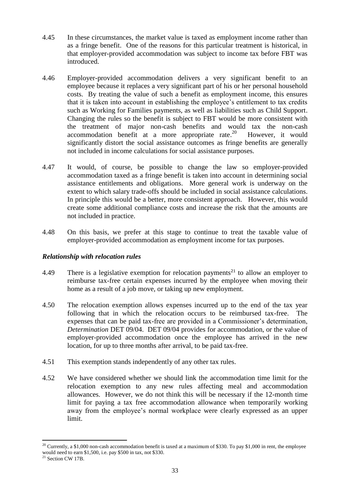- 4.45 In these circumstances, the market value is taxed as employment income rather than as a fringe benefit. One of the reasons for this particular treatment is historical, in that employer-provided accommodation was subject to income tax before FBT was introduced.
- 4.46 Employer-provided accommodation delivers a very significant benefit to an employee because it replaces a very significant part of his or her personal household costs. By treating the value of such a benefit as employment income, this ensures that it is taken into account in establishing the employee's entitlement to tax credits such as Working for Families payments, as well as liabilities such as Child Support. Changing the rules so the benefit is subject to FBT would be more consistent with the treatment of major non-cash benefits and would tax the non-cash accommodation benefit at a more appropriate rate.<sup>20</sup> However, it would significantly distort the social assistance outcomes as fringe benefits are generally not included in income calculations for social assistance purposes.
- 4.47 It would, of course, be possible to change the law so employer-provided accommodation taxed as a fringe benefit is taken into account in determining social assistance entitlements and obligations. More general work is underway on the extent to which salary trade-offs should be included in social assistance calculations. In principle this would be a better, more consistent approach. However, this would create some additional compliance costs and increase the risk that the amounts are not included in practice.
- 4.48 On this basis, we prefer at this stage to continue to treat the taxable value of employer-provided accommodation as employment income for tax purposes.

# *Relationship with relocation rules*

- 4.49 There is a legislative exemption for relocation payments<sup>21</sup> to allow an employer to reimburse tax-free certain expenses incurred by the employee when moving their home as a result of a job move, or taking up new employment.
- 4.50 The relocation exemption allows expenses incurred up to the end of the tax year following that in which the relocation occurs to be reimbursed tax-free. The expenses that can be paid tax-free are provided in a Commissioner's determination, *Determination* DET 09/04. DET 09/04 provides for accommodation, or the value of employer-provided accommodation once the employee has arrived in the new location, for up to three months after arrival, to be paid tax-free.
- 4.51 This exemption stands independently of any other tax rules.
- 4.52 We have considered whether we should link the accommodation time limit for the relocation exemption to any new rules affecting meal and accommodation allowances. However, we do not think this will be necessary if the 12-month time limit for paying a tax free accommodation allowance when temporarily working away from the employee's normal workplace were clearly expressed as an upper limit.

 $\overline{a}$ 

<sup>&</sup>lt;sup>20</sup> Currently, a \$1,000 non-cash accommodation benefit is taxed at a maximum of \$330. To pay \$1,000 in rent, the employee would need to earn \$1,500, i.e. pay \$500 in tax, not \$330.

<sup>&</sup>lt;sup>21</sup> Section CW 17B.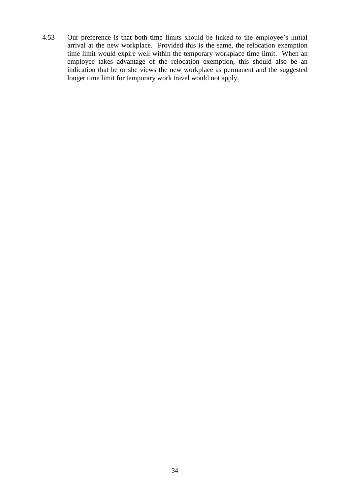4.53 Our preference is that both time limits should be linked to the employee's initial arrival at the new workplace. Provided this is the same, the relocation exemption time limit would expire well within the temporary workplace time limit. When an employee takes advantage of the relocation exemption, this should also be an indication that he or she views the new workplace as permanent and the suggested longer time limit for temporary work travel would not apply.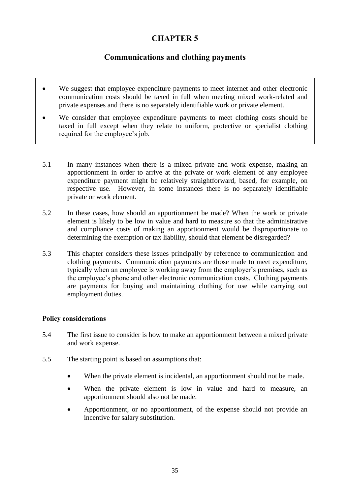# **CHAPTER 5**

# **Communications and clothing payments**

- We suggest that employee expenditure payments to meet internet and other electronic communication costs should be taxed in full when meeting mixed work-related and private expenses and there is no separately identifiable work or private element.
- We consider that employee expenditure payments to meet clothing costs should be taxed in full except when they relate to uniform, protective or specialist clothing required for the employee's job.
- 5.1 In many instances when there is a mixed private and work expense, making an apportionment in order to arrive at the private or work element of any employee expenditure payment might be relatively straightforward, based, for example, on respective use. However, in some instances there is no separately identifiable private or work element.
- 5.2 In these cases, how should an apportionment be made? When the work or private element is likely to be low in value and hard to measure so that the administrative and compliance costs of making an apportionment would be disproportionate to determining the exemption or tax liability, should that element be disregarded?
- 5.3 This chapter considers these issues principally by reference to communication and clothing payments. Communication payments are those made to meet expenditure, typically when an employee is working away from the employer's premises, such as the employee's phone and other electronic communication costs. Clothing payments are payments for buying and maintaining clothing for use while carrying out employment duties.

# **Policy considerations**

- 5.4 The first issue to consider is how to make an apportionment between a mixed private and work expense.
- 5.5 The starting point is based on assumptions that:
	- When the private element is incidental, an apportionment should not be made.
	- When the private element is low in value and hard to measure, an apportionment should also not be made.
	- Apportionment, or no apportionment, of the expense should not provide an incentive for salary substitution.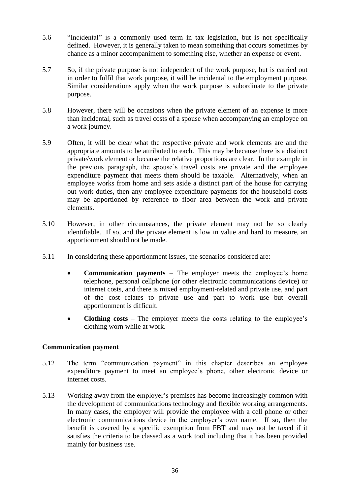- 5.6 "Incidental" is a commonly used term in tax legislation, but is not specifically defined. However, it is generally taken to mean something that occurs sometimes by chance as a minor accompaniment to something else, whether an expense or event.
- 5.7 So, if the private purpose is not independent of the work purpose, but is carried out in order to fulfil that work purpose, it will be incidental to the employment purpose. Similar considerations apply when the work purpose is subordinate to the private purpose.
- 5.8 However, there will be occasions when the private element of an expense is more than incidental, such as travel costs of a spouse when accompanying an employee on a work journey.
- 5.9 Often, it will be clear what the respective private and work elements are and the appropriate amounts to be attributed to each. This may be because there is a distinct private/work element or because the relative proportions are clear. In the example in the previous paragraph, the spouse's travel costs are private and the employee expenditure payment that meets them should be taxable. Alternatively, when an employee works from home and sets aside a distinct part of the house for carrying out work duties, then any employee expenditure payments for the household costs may be apportioned by reference to floor area between the work and private elements.
- 5.10 However, in other circumstances, the private element may not be so clearly identifiable. If so, and the private element is low in value and hard to measure, an apportionment should not be made.
- 5.11 In considering these apportionment issues, the scenarios considered are:
	- **Communication payments** The employer meets the employee's home telephone, personal cellphone (or other electronic communications device) or internet costs, and there is mixed employment-related and private use, and part of the cost relates to private use and part to work use but overall apportionment is difficult.
	- **Clothing costs** The employer meets the costs relating to the employee's clothing worn while at work.

# **Communication payment**

- 5.12 The term "communication payment" in this chapter describes an employee expenditure payment to meet an employee's phone, other electronic device or internet costs.
- 5.13 Working away from the employer's premises has become increasingly common with the development of communications technology and flexible working arrangements. In many cases, the employer will provide the employee with a cell phone or other electronic communications device in the employer's own name. If so, then the benefit is covered by a specific exemption from FBT and may not be taxed if it satisfies the criteria to be classed as a work tool including that it has been provided mainly for business use.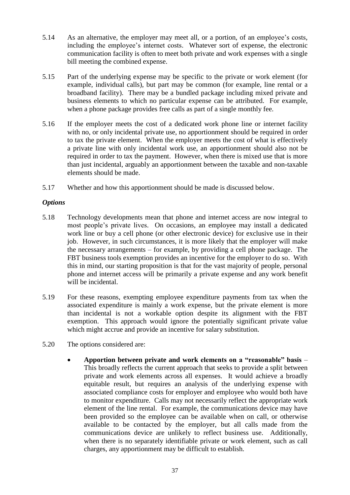- 5.14 As an alternative, the employer may meet all, or a portion, of an employee's costs, including the employee's internet costs. Whatever sort of expense, the electronic communication facility is often to meet both private and work expenses with a single bill meeting the combined expense.
- 5.15 Part of the underlying expense may be specific to the private or work element (for example, individual calls), but part may be common (for example, line rental or a broadband facility). There may be a bundled package including mixed private and business elements to which no particular expense can be attributed. For example, when a phone package provides free calls as part of a single monthly fee.
- 5.16 If the employer meets the cost of a dedicated work phone line or internet facility with no, or only incidental private use, no apportionment should be required in order to tax the private element. When the employer meets the cost of what is effectively a private line with only incidental work use, an apportionment should also not be required in order to tax the payment. However, when there is mixed use that is more than just incidental, arguably an apportionment between the taxable and non-taxable elements should be made.
- 5.17 Whether and how this apportionment should be made is discussed below.

#### *Options*

- 5.18 Technology developments mean that phone and internet access are now integral to most people's private lives. On occasions, an employee may install a dedicated work line or buy a cell phone (or other electronic device) for exclusive use in their job. However, in such circumstances, it is more likely that the employer will make the necessary arrangements – for example, by providing a cell phone package. The FBT business tools exemption provides an incentive for the employer to do so. With this in mind, our starting proposition is that for the vast majority of people, personal phone and internet access will be primarily a private expense and any work benefit will be incidental.
- 5.19 For these reasons, exempting employee expenditure payments from tax when the associated expenditure is mainly a work expense, but the private element is more than incidental is not a workable option despite its alignment with the FBT exemption. This approach would ignore the potentially significant private value which might accrue and provide an incentive for salary substitution.
- 5.20 The options considered are:
	- **Apportion between private and work elements on a "reasonable" basis** This broadly reflects the current approach that seeks to provide a split between private and work elements across all expenses. It would achieve a broadly equitable result, but requires an analysis of the underlying expense with associated compliance costs for employer and employee who would both have to monitor expenditure. Calls may not necessarily reflect the appropriate work element of the line rental. For example, the communications device may have been provided so the employee can be available when on call, or otherwise available to be contacted by the employer, but all calls made from the communications device are unlikely to reflect business use. Additionally, when there is no separately identifiable private or work element, such as call charges, any apportionment may be difficult to establish.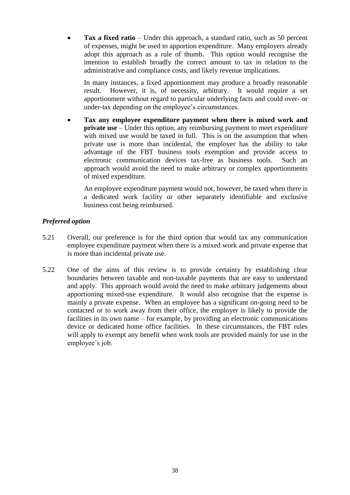**Tax a fixed ratio** – Under this approach, a standard ratio, such as 50 percent of expenses, might be used to apportion expenditure. Many employers already adopt this approach as a rule of thumb. This option would recognise the intention to establish broadly the correct amount to tax in relation to the administrative and compliance costs, and likely revenue implications.

In many instances, a fixed apportionment may produce a broadly reasonable result. However, it is, of necessity, arbitrary. It would require a set apportionment without regard to particular underlying facts and could over- or under-tax depending on the employee's circumstances.

 **Tax any employee expenditure payment when there is mixed work and private use** – Under this option, any reimbursing payment to meet expenditure with mixed use would be taxed in full. This is on the assumption that when private use is more than incidental, the employer has the ability to take advantage of the FBT business tools exemption and provide access to electronic communication devices tax-free as business tools. Such an approach would avoid the need to make arbitrary or complex apportionments of mixed expenditure.

An employee expenditure payment would not, however, be taxed when there is a dedicated work facility or other separately identifiable and exclusive business cost being reimbursed.

# *Preferred option*

- 5.21 Overall, our preference is for the third option that would tax any communication employee expenditure payment when there is a mixed work and private expense that is more than incidental private use.
- 5.22 One of the aims of this review is to provide certainty by establishing clear boundaries between taxable and non-taxable payments that are easy to understand and apply. This approach would avoid the need to make arbitrary judgements about apportioning mixed-use expenditure. It would also recognise that the expense is mainly a private expense. When an employee has a significant on-going need to be contacted or to work away from their office, the employer is likely to provide the facilities in its own name – for example, by providing an electronic communications device or dedicated home office facilities. In these circumstances, the FBT rules will apply to exempt any benefit when work tools are provided mainly for use in the employee's job.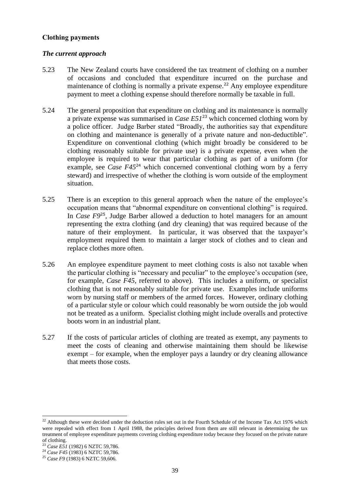#### **Clothing payments**

#### *The current approach*

- 5.23 The New Zealand courts have considered the tax treatment of clothing on a number of occasions and concluded that expenditure incurred on the purchase and maintenance of clothing is normally a private expense.<sup>22</sup> Any employee expenditure payment to meet a clothing expense should therefore normally be taxable in full.
- 5.24 The general proposition that expenditure on clothing and its maintenance is normally a private expense was summarised in *Case E51*<sup>23</sup> which concerned clothing worn by a police officer. Judge Barber stated "Broadly, the authorities say that expenditure on clothing and maintenance is generally of a private nature and non-deductible". Expenditure on conventional clothing (which might broadly be considered to be clothing reasonably suitable for private use) is a private expense, even when the employee is required to wear that particular clothing as part of a uniform (for example, see *Case F45*<sup>24</sup> which concerned conventional clothing worn by a ferry steward) and irrespective of whether the clothing is worn outside of the employment situation.
- 5.25 There is an exception to this general approach when the nature of the employee's occupation means that "abnormal expenditure on conventional clothing" is required. In *Case F9*<sup>25</sup>, Judge Barber allowed a deduction to hotel managers for an amount representing the extra clothing (and dry cleaning) that was required because of the nature of their employment. In particular, it was observed that the taxpayer's employment required them to maintain a larger stock of clothes and to clean and replace clothes more often.
- 5.26 An employee expenditure payment to meet clothing costs is also not taxable when the particular clothing is "necessary and peculiar" to the employee's occupation (see, for example, *Case F45*, referred to above). This includes a uniform, or specialist clothing that is not reasonably suitable for private use. Examples include uniforms worn by nursing staff or members of the armed forces. However, ordinary clothing of a particular style or colour which could reasonably be worn outside the job would not be treated as a uniform. Specialist clothing might include overalls and protective boots worn in an industrial plant.
- 5.27 If the costs of particular articles of clothing are treated as exempt, any payments to meet the costs of cleaning and otherwise maintaining them should be likewise exempt – for example, when the employer pays a laundry or dry cleaning allowance that meets those costs.

**.** 

 $22$  Although these were decided under the deduction rules set out in the Fourth Schedule of the Income Tax Act 1976 which were repealed with effect from 1 April 1988, the principles derived from them are still relevant in determining the tax treatment of employee expenditure payments covering clothing expenditure today because they focused on the private nature of clothing.

<sup>23</sup> *Case E51* (1982) 6 NZTC 59,786.

<sup>&</sup>lt;sup>24</sup> *Case F45* (1983) 6 NZTC 59,786.

<sup>25</sup> *Case F9* (1983) 6 NZTC 59,606.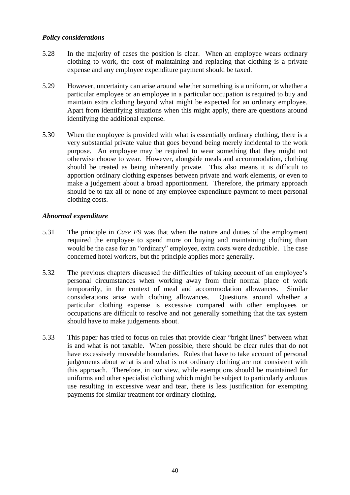#### *Policy considerations*

- 5.28 In the majority of cases the position is clear. When an employee wears ordinary clothing to work, the cost of maintaining and replacing that clothing is a private expense and any employee expenditure payment should be taxed.
- 5.29 However, uncertainty can arise around whether something is a uniform, or whether a particular employee or an employee in a particular occupation is required to buy and maintain extra clothing beyond what might be expected for an ordinary employee. Apart from identifying situations when this might apply, there are questions around identifying the additional expense.
- 5.30 When the employee is provided with what is essentially ordinary clothing, there is a very substantial private value that goes beyond being merely incidental to the work purpose. An employee may be required to wear something that they might not otherwise choose to wear. However, alongside meals and accommodation, clothing should be treated as being inherently private. This also means it is difficult to apportion ordinary clothing expenses between private and work elements, or even to make a judgement about a broad apportionment. Therefore, the primary approach should be to tax all or none of any employee expenditure payment to meet personal clothing costs.

# *Abnormal expenditure*

- 5.31 The principle in *Case F9* was that when the nature and duties of the employment required the employee to spend more on buying and maintaining clothing than would be the case for an "ordinary" employee, extra costs were deductible. The case concerned hotel workers, but the principle applies more generally.
- 5.32 The previous chapters discussed the difficulties of taking account of an employee's personal circumstances when working away from their normal place of work temporarily, in the context of meal and accommodation allowances. Similar considerations arise with clothing allowances. Questions around whether a particular clothing expense is excessive compared with other employees or occupations are difficult to resolve and not generally something that the tax system should have to make judgements about.
- 5.33 This paper has tried to focus on rules that provide clear "bright lines" between what is and what is not taxable. When possible, there should be clear rules that do not have excessively moveable boundaries. Rules that have to take account of personal judgements about what is and what is not ordinary clothing are not consistent with this approach. Therefore, in our view, while exemptions should be maintained for uniforms and other specialist clothing which might be subject to particularly arduous use resulting in excessive wear and tear, there is less justification for exempting payments for similar treatment for ordinary clothing.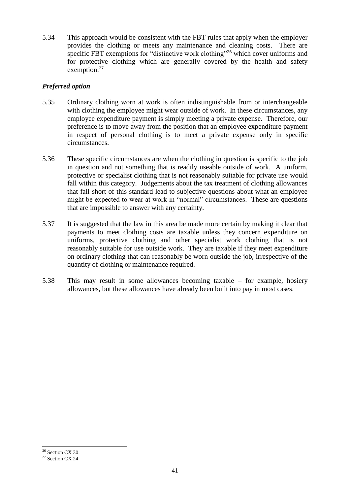5.34 This approach would be consistent with the FBT rules that apply when the employer provides the clothing or meets any maintenance and cleaning costs. There are specific FBT exemptions for "distinctive work clothing"<sup>26</sup> which cover uniforms and for protective clothing which are generally covered by the health and safety exemption.<sup>27</sup>

# *Preferred option*

- 5.35 Ordinary clothing worn at work is often indistinguishable from or interchangeable with clothing the employee might wear outside of work. In these circumstances, any employee expenditure payment is simply meeting a private expense. Therefore, our preference is to move away from the position that an employee expenditure payment in respect of personal clothing is to meet a private expense only in specific circumstances.
- 5.36 These specific circumstances are when the clothing in question is specific to the job in question and not something that is readily useable outside of work. A uniform, protective or specialist clothing that is not reasonably suitable for private use would fall within this category. Judgements about the tax treatment of clothing allowances that fall short of this standard lead to subjective questions about what an employee might be expected to wear at work in "normal" circumstances. These are questions that are impossible to answer with any certainty.
- 5.37 It is suggested that the law in this area be made more certain by making it clear that payments to meet clothing costs are taxable unless they concern expenditure on uniforms, protective clothing and other specialist work clothing that is not reasonably suitable for use outside work. They are taxable if they meet expenditure on ordinary clothing that can reasonably be worn outside the job, irrespective of the quantity of clothing or maintenance required.
- 5.38 This may result in some allowances becoming taxable for example, hosiery allowances, but these allowances have already been built into pay in most cases.

**.** 

 $26$  Section CX 30.

 $27$  Section CX 24.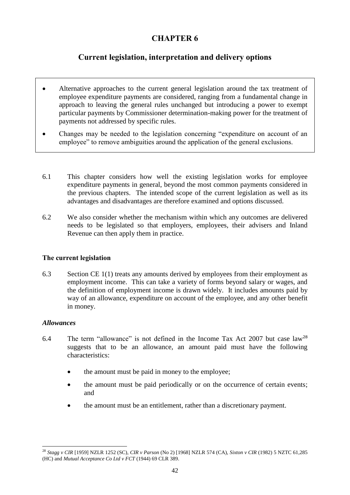# **CHAPTER 6**

# **Current legislation, interpretation and delivery options**

- Alternative approaches to the current general legislation around the tax treatment of employee expenditure payments are considered, ranging from a fundamental change in approach to leaving the general rules unchanged but introducing a power to exempt particular payments by Commissioner determination-making power for the treatment of payments not addressed by specific rules.
- Changes may be needed to the legislation concerning "expenditure on account of an employee" to remove ambiguities around the application of the general exclusions.
- 6.1 This chapter considers how well the existing legislation works for employee expenditure payments in general, beyond the most common payments considered in the previous chapters. The intended scope of the current legislation as well as its advantages and disadvantages are therefore examined and options discussed.
- 6.2 We also consider whether the mechanism within which any outcomes are delivered needs to be legislated so that employers, employees, their advisers and Inland Revenue can then apply them in practice.

# **The current legislation**

6.3 Section CE 1(1) treats any amounts derived by employees from their employment as employment income. This can take a variety of forms beyond salary or wages, and the definition of employment income is drawn widely. It includes amounts paid by way of an allowance, expenditure on account of the employee, and any other benefit in money.

# *Allowances*

- 6.4 The term "allowance" is not defined in the Income Tax Act 2007 but case law<sup>28</sup> suggests that to be an allowance, an amount paid must have the following characteristics:
	- the amount must be paid in money to the employee;
	- the amount must be paid periodically or on the occurrence of certain events; and
	- the amount must be an entitlement, rather than a discretionary payment.

**<sup>.</sup>** <sup>28</sup> *Stagg v CIR* [1959] NZLR 1252 (SC), *CIR v Parson* (No 2) [1968] NZLR 574 (CA), *Sixton v CIR* (1982) 5 NZTC 61,285 (HC) and *Mutual Acceptance Co Ltd v FCT* (1944) 69 CLR 389.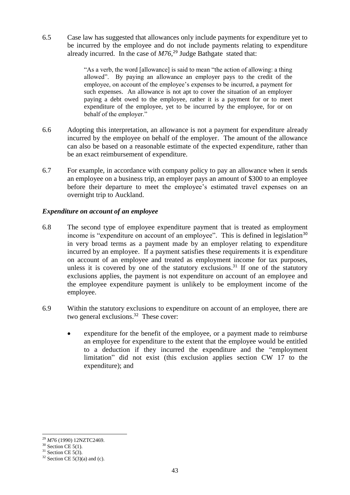6.5 Case law has suggested that allowances only include payments for expenditure yet to be incurred by the employee and do not include payments relating to expenditure already incurred. In the case of *M76*, <sup>29</sup> Judge Bathgate stated that:

> "As a verb, the word [allowance] is said to mean "the action of allowing: a thing allowed". By paying an allowance an employer pays to the credit of the employee, on account of the employee's expenses to be incurred, a payment for such expenses. An allowance is not apt to cover the situation of an employer paying a debt owed to the employee, rather it is a payment for or to meet expenditure of the employee, yet to be incurred by the employee, for or on behalf of the employer."

- 6.6 Adopting this interpretation, an allowance is not a payment for expenditure already incurred by the employee on behalf of the employer. The amount of the allowance can also be based on a reasonable estimate of the expected expenditure, rather than be an exact reimbursement of expenditure.
- 6.7 For example, in accordance with company policy to pay an allowance when it sends an employee on a business trip, an employer pays an amount of \$300 to an employee before their departure to meet the employee's estimated travel expenses on an overnight trip to Auckland.

# *Expenditure on account of an employee*

- 6.8 The second type of employee expenditure payment that is treated as employment income is "expenditure on account of an employee". This is defined in legislation<sup>30</sup> in very broad terms as a payment made by an employer relating to expenditure incurred by an employee. If a payment satisfies these requirements it is expenditure on account of an employee and treated as employment income for tax purposes, unless it is covered by one of the statutory exclusions.<sup>31</sup> If one of the statutory exclusions applies, the payment is not expenditure on account of an employee and the employee expenditure payment is unlikely to be employment income of the employee.
- 6.9 Within the statutory exclusions to expenditure on account of an employee, there are two general exclusions.<sup>32</sup> These cover:
	- expenditure for the benefit of the employee, or a payment made to reimburse an employee for expenditure to the extent that the employee would be entitled to a deduction if they incurred the expenditure and the "employment limitation" did not exist (this exclusion applies section CW 17 to the expenditure); and

**<sup>.</sup>** <sup>29</sup> *M76* (1990) 12NZTC2469.

 $30$  Section CE 5(1).

 $31$  Section CE 5(3).

 $32$  Section CE  $5(3)(a)$  and (c).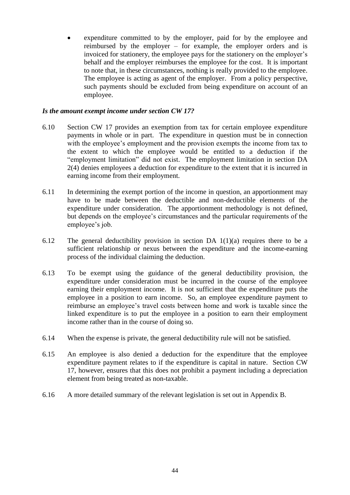expenditure committed to by the employer, paid for by the employee and reimbursed by the employer – for example, the employer orders and is invoiced for stationery, the employee pays for the stationery on the employer's behalf and the employer reimburses the employee for the cost. It is important to note that, in these circumstances, nothing is really provided to the employee. The employee is acting as agent of the employer. From a policy perspective, such payments should be excluded from being expenditure on account of an employee.

#### *Is the amount exempt income under section CW 17?*

- 6.10 Section CW 17 provides an exemption from tax for certain employee expenditure payments in whole or in part. The expenditure in question must be in connection with the employee's employment and the provision exempts the income from tax to the extent to which the employee would be entitled to a deduction if the "employment limitation" did not exist. The employment limitation in section DA 2(4) denies employees a deduction for expenditure to the extent that it is incurred in earning income from their employment.
- 6.11 In determining the exempt portion of the income in question, an apportionment may have to be made between the deductible and non-deductible elements of the expenditure under consideration. The apportionment methodology is not defined, but depends on the employee's circumstances and the particular requirements of the employee's job.
- 6.12 The general deductibility provision in section DA 1(1)(a) requires there to be a sufficient relationship or nexus between the expenditure and the income-earning process of the individual claiming the deduction.
- 6.13 To be exempt using the guidance of the general deductibility provision, the expenditure under consideration must be incurred in the course of the employee earning their employment income. It is not sufficient that the expenditure puts the employee in a position to earn income. So, an employee expenditure payment to reimburse an employee's travel costs between home and work is taxable since the linked expenditure is to put the employee in a position to earn their employment income rather than in the course of doing so.
- 6.14 When the expense is private, the general deductibility rule will not be satisfied.
- 6.15 An employee is also denied a deduction for the expenditure that the employee expenditure payment relates to if the expenditure is capital in nature. Section CW 17, however, ensures that this does not prohibit a payment including a depreciation element from being treated as non-taxable.
- 6.16 A more detailed summary of the relevant legislation is set out in Appendix B.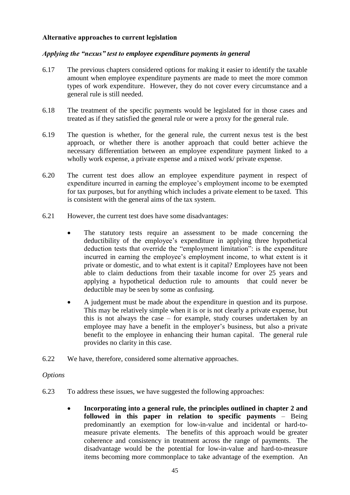#### **Alternative approaches to current legislation**

#### *Applying the "nexus" test to employee expenditure payments in general*

- 6.17 The previous chapters considered options for making it easier to identify the taxable amount when employee expenditure payments are made to meet the more common types of work expenditure. However, they do not cover every circumstance and a general rule is still needed.
- 6.18 The treatment of the specific payments would be legislated for in those cases and treated as if they satisfied the general rule or were a proxy for the general rule.
- 6.19 The question is whether, for the general rule, the current nexus test is the best approach, or whether there is another approach that could better achieve the necessary differentiation between an employee expenditure payment linked to a wholly work expense, a private expense and a mixed work/ private expense.
- 6.20 The current test does allow an employee expenditure payment in respect of expenditure incurred in earning the employee's employment income to be exempted for tax purposes, but for anything which includes a private element to be taxed. This is consistent with the general aims of the tax system.
- 6.21 However, the current test does have some disadvantages:
	- The statutory tests require an assessment to be made concerning the deductibility of the employee's expenditure in applying three hypothetical deduction tests that override the "employment limitation": is the expenditure incurred in earning the employee's employment income, to what extent is it private or domestic, and to what extent is it capital? Employees have not been able to claim deductions from their taxable income for over 25 years and applying a hypothetical deduction rule to amounts that could never be deductible may be seen by some as confusing.
	- A judgement must be made about the expenditure in question and its purpose. This may be relatively simple when it is or is not clearly a private expense, but this is not always the case – for example, study courses undertaken by an employee may have a benefit in the employer's business, but also a private benefit to the employee in enhancing their human capital. The general rule provides no clarity in this case.
- 6.22 We have, therefore, considered some alternative approaches.

#### *Options*

- 6.23 To address these issues, we have suggested the following approaches:
	- **Incorporating into a general rule, the principles outlined in chapter 2 and followed in this paper in relation to specific payments** – Being predominantly an exemption for low-in-value and incidental or hard-tomeasure private elements. The benefits of this approach would be greater coherence and consistency in treatment across the range of payments. The disadvantage would be the potential for low-in-value and hard-to-measure items becoming more commonplace to take advantage of the exemption. An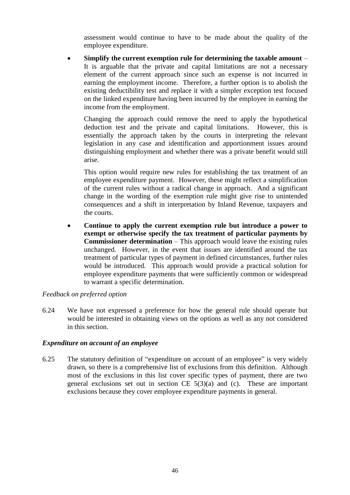assessment would continue to have to be made about the quality of the employee expenditure.

 **Simplify the current exemption rule for determining the taxable amount** – It is arguable that the private and capital limitations are not a necessary element of the current approach since such an expense is not incurred in earning the employment income. Therefore, a further option is to abolish the existing deductibility test and replace it with a simpler exception test focused on the linked expenditure having been incurred by the employee in earning the income from the employment.

Changing the approach could remove the need to apply the hypothetical deduction test and the private and capital limitations. However, this is essentially the approach taken by the courts in interpreting the relevant legislation in any case and identification and apportionment issues around distinguishing employment and whether there was a private benefit would still arise.

This option would require new rules for establishing the tax treatment of an employee expenditure payment. However, these might reflect a simplification of the current rules without a radical change in approach. And a significant change in the wording of the exemption rule might give rise to unintended consequences and a shift in interpretation by Inland Revenue, taxpayers and the courts.

 **Continue to apply the current exemption rule but introduce a power to exempt or otherwise specify the tax treatment of particular payments by Commissioner determination** – This approach would leave the existing rules unchanged. However, in the event that issues are identified around the tax treatment of particular types of payment in defined circumstances, further rules would be introduced. This approach would provide a practical solution for employee expenditure payments that were sufficiently common or widespread to warrant a specific determination.

#### *Feedback on preferred option*

6.24 We have not expressed a preference for how the general rule should operate but would be interested in obtaining views on the options as well as any not considered in this section.

#### *Expenditure on account of an employee*

6.25 The statutory definition of "expenditure on account of an employee" is very widely drawn, so there is a comprehensive list of exclusions from this definition. Although most of the exclusions in this list cover specific types of payment, there are two general exclusions set out in section CE  $5(3)(a)$  and (c). These are important exclusions because they cover employee expenditure payments in general.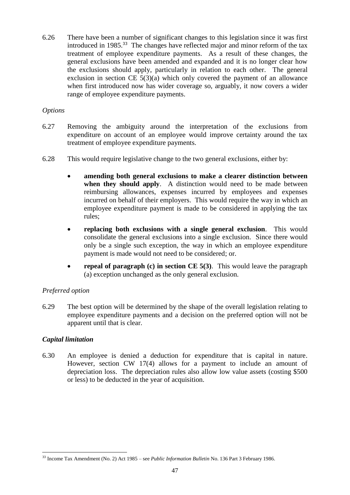6.26 There have been a number of significant changes to this legislation since it was first introduced in 1985. 33 The changes have reflected major and minor reform of the tax treatment of employee expenditure payments. As a result of these changes, the general exclusions have been amended and expanded and it is no longer clear how the exclusions should apply, particularly in relation to each other. The general exclusion in section CE 5(3)(a) which only covered the payment of an allowance when first introduced now has wider coverage so, arguably, it now covers a wider range of employee expenditure payments.

# *Options*

- 6.27 Removing the ambiguity around the interpretation of the exclusions from expenditure on account of an employee would improve certainty around the tax treatment of employee expenditure payments.
- 6.28 This would require legislative change to the two general exclusions, either by:
	- **amending both general exclusions to make a clearer distinction between when they should apply**. A distinction would need to be made between reimbursing allowances, expenses incurred by employees and expenses incurred on behalf of their employers. This would require the way in which an employee expenditure payment is made to be considered in applying the tax rules;
	- **replacing both exclusions with a single general exclusion**.This would consolidate the general exclusions into a single exclusion. Since there would only be a single such exception, the way in which an employee expenditure payment is made would not need to be considered; or.
	- **repeal of paragraph (c) in section CE 5(3)**. This would leave the paragraph (a) exception unchanged as the only general exclusion.

# *Preferred option*

6.29 The best option will be determined by the shape of the overall legislation relating to employee expenditure payments and a decision on the preferred option will not be apparent until that is clear.

# *Capital limitation*

6.30 An employee is denied a deduction for expenditure that is capital in nature. However, section CW 17(4) allows for a payment to include an amount of depreciation loss. The depreciation rules also allow low value assets (costing \$500 or less) to be deducted in the year of acquisition.

 $\overline{a}$ <sup>33</sup> Income Tax Amendment (No. 2) Act 1985 – see *Public Information Bulletin* No. 136 Part 3 February 1986.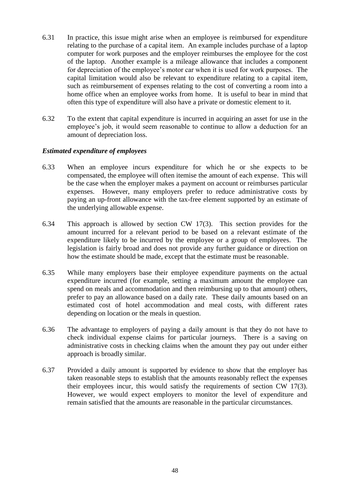- 6.31 In practice, this issue might arise when an employee is reimbursed for expenditure relating to the purchase of a capital item. An example includes purchase of a laptop computer for work purposes and the employer reimburses the employee for the cost of the laptop. Another example is a mileage allowance that includes a component for depreciation of the employee's motor car when it is used for work purposes. The capital limitation would also be relevant to expenditure relating to a capital item, such as reimbursement of expenses relating to the cost of converting a room into a home office when an employee works from home. It is useful to bear in mind that often this type of expenditure will also have a private or domestic element to it.
- 6.32 To the extent that capital expenditure is incurred in acquiring an asset for use in the employee's job, it would seem reasonable to continue to allow a deduction for an amount of depreciation loss.

#### *Estimated expenditure of employees*

- 6.33 When an employee incurs expenditure for which he or she expects to be compensated, the employee will often itemise the amount of each expense. This will be the case when the employer makes a payment on account or reimburses particular expenses. However, many employers prefer to reduce administrative costs by paying an up-front allowance with the tax-free element supported by an estimate of the underlying allowable expense.
- 6.34 This approach is allowed by section CW 17(3). This section provides for the amount incurred for a relevant period to be based on a relevant estimate of the expenditure likely to be incurred by the employee or a group of employees. The legislation is fairly broad and does not provide any further guidance or direction on how the estimate should be made, except that the estimate must be reasonable.
- 6.35 While many employers base their employee expenditure payments on the actual expenditure incurred (for example, setting a maximum amount the employee can spend on meals and accommodation and then reimbursing up to that amount) others, prefer to pay an allowance based on a daily rate. These daily amounts based on an estimated cost of hotel accommodation and meal costs, with different rates depending on location or the meals in question.
- 6.36 The advantage to employers of paying a daily amount is that they do not have to check individual expense claims for particular journeys. There is a saving on administrative costs in checking claims when the amount they pay out under either approach is broadly similar.
- 6.37 Provided a daily amount is supported by evidence to show that the employer has taken reasonable steps to establish that the amounts reasonably reflect the expenses their employees incur, this would satisfy the requirements of section CW 17(3). However, we would expect employers to monitor the level of expenditure and remain satisfied that the amounts are reasonable in the particular circumstances.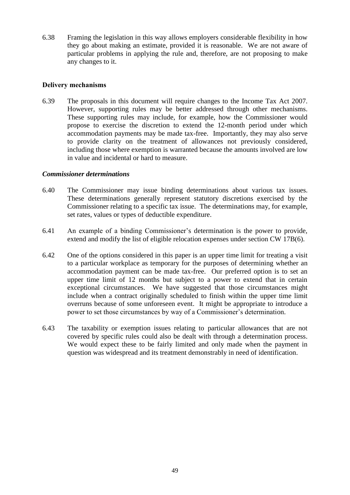6.38 Framing the legislation in this way allows employers considerable flexibility in how they go about making an estimate, provided it is reasonable. We are not aware of particular problems in applying the rule and, therefore, are not proposing to make any changes to it.

#### **Delivery mechanisms**

6.39 The proposals in this document will require changes to the Income Tax Act 2007. However, supporting rules may be better addressed through other mechanisms. These supporting rules may include, for example, how the Commissioner would propose to exercise the discretion to extend the 12-month period under which accommodation payments may be made tax-free. Importantly, they may also serve to provide clarity on the treatment of allowances not previously considered, including those where exemption is warranted because the amounts involved are low in value and incidental or hard to measure.

#### *Commissioner determinations*

- 6.40 The Commissioner may issue binding determinations about various tax issues. These determinations generally represent statutory discretions exercised by the Commissioner relating to a specific tax issue. The determinations may, for example, set rates, values or types of deductible expenditure.
- 6.41 An example of a binding Commissioner's determination is the power to provide, extend and modify the list of eligible relocation expenses under section CW 17B(6).
- 6.42 One of the options considered in this paper is an upper time limit for treating a visit to a particular workplace as temporary for the purposes of determining whether an accommodation payment can be made tax-free. Our preferred option is to set an upper time limit of 12 months but subject to a power to extend that in certain exceptional circumstances. We have suggested that those circumstances might include when a contract originally scheduled to finish within the upper time limit overruns because of some unforeseen event. It might be appropriate to introduce a power to set those circumstances by way of a Commissioner's determination.
- 6.43 The taxability or exemption issues relating to particular allowances that are not covered by specific rules could also be dealt with through a determination process. We would expect these to be fairly limited and only made when the payment in question was widespread and its treatment demonstrably in need of identification.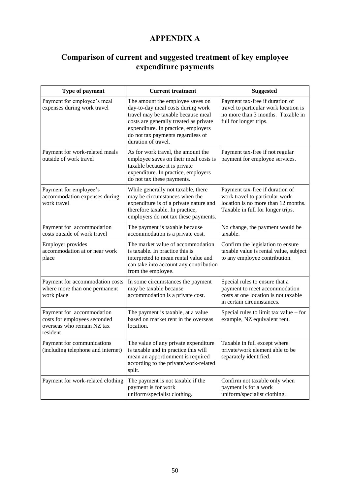# **APPENDIX A**

# **Comparison of current and suggested treatment of key employee expenditure payments**

| Type of payment                                                                                     | <b>Current treatment</b>                                                                                                                                                                                                                                 | <b>Suggested</b>                                                                                                                              |  |
|-----------------------------------------------------------------------------------------------------|----------------------------------------------------------------------------------------------------------------------------------------------------------------------------------------------------------------------------------------------------------|-----------------------------------------------------------------------------------------------------------------------------------------------|--|
| Payment for employee's meal<br>expenses during work travel                                          | The amount the employee saves on<br>day-to-day meal costs during work<br>travel may be taxable because meal<br>costs are generally treated as private<br>expenditure. In practice, employers<br>do not tax payments regardless of<br>duration of travel. | Payment tax-free if duration of<br>travel to particular work location is<br>no more than 3 months. Taxable in<br>full for longer trips.       |  |
| Payment for work-related meals<br>outside of work travel                                            | As for work travel, the amount the<br>employee saves on their meal costs is<br>taxable because it is private<br>expenditure. In practice, employers<br>do not tax these payments.                                                                        | Payment tax-free if not regular<br>payment for employee services.                                                                             |  |
| Payment for employee's<br>accommodation expenses during<br>work travel                              | While generally not taxable, there<br>may be circumstances when the<br>expenditure is of a private nature and<br>therefore taxable. In practice,<br>employers do not tax these payments.                                                                 | Payment tax-free if duration of<br>work travel to particular work<br>location is no more than 12 months.<br>Taxable in full for longer trips. |  |
| Payment for accommodation<br>costs outside of work travel                                           | The payment is taxable because<br>accommodation is a private cost.                                                                                                                                                                                       | No change, the payment would be<br>taxable.                                                                                                   |  |
| <b>Employer provides</b><br>accommodation at or near work<br>place                                  | The market value of accommodation<br>is taxable. In practice this is<br>interpreted to mean rental value and<br>can take into account any contribution<br>from the employee.                                                                             | Confirm the legislation to ensure<br>taxable value is rental value, subject<br>to any employee contribution.                                  |  |
| Payment for accommodation costs<br>where more than one permanent<br>work place                      | In some circumstances the payment<br>may be taxable because<br>accommodation is a private cost.                                                                                                                                                          | Special rules to ensure that a<br>payment to meet accommodation<br>costs at one location is not taxable<br>in certain circumstances.          |  |
| Payment for accommodation<br>costs for employees seconded<br>overseas who remain NZ tax<br>resident | The payment is taxable, at a value<br>based on market rent in the overseas<br>location.                                                                                                                                                                  | Special rules to limit tax value $-$ for<br>example, NZ equivalent rent.                                                                      |  |
| Payment for communications<br>(including telephone and internet)                                    | The value of any private expenditure<br>is taxable and in practice this will<br>mean an apportionment is required<br>according to the private/work-related<br>split.                                                                                     | Taxable in full except where<br>private/work element able to be<br>separately identified.                                                     |  |
| Payment for work-related clothing                                                                   | The payment is not taxable if the<br>payment is for work<br>uniform/specialist clothing.                                                                                                                                                                 | Confirm not taxable only when<br>payment is for a work<br>uniform/specialist clothing.                                                        |  |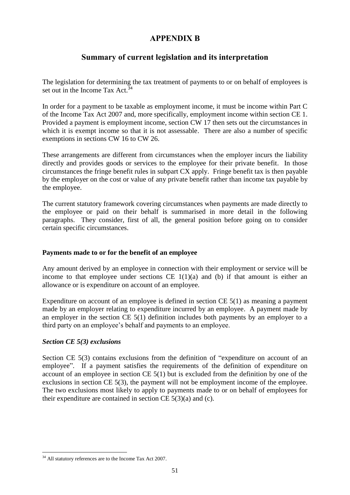# **APPENDIX B**

# **Summary of current legislation and its interpretation**

The legislation for determining the tax treatment of payments to or on behalf of employees is set out in the Income Tax Act.<sup>34</sup>

In order for a payment to be taxable as employment income, it must be income within Part C of the Income Tax Act 2007 and, more specifically, employment income within section CE 1. Provided a payment is employment income, section CW 17 then sets out the circumstances in which it is exempt income so that it is not assessable. There are also a number of specific exemptions in sections CW 16 to CW 26.

These arrangements are different from circumstances when the employer incurs the liability directly and provides goods or services to the employee for their private benefit. In those  $circ$  circumstances the fringe benefit rules in subpart  $\overline{CX}$  apply. Fringe benefit tax is then payable by the employer on the cost or value of any private benefit rather than income tax payable by the employee.

The current statutory framework covering circumstances when payments are made directly to the employee or paid on their behalf is summarised in more detail in the following paragraphs. They consider, first of all, the general position before going on to consider certain specific circumstances.

#### **Payments made to or for the benefit of an employee**

Any amount derived by an employee in connection with their employment or service will be income to that employee under sections  $CE 1(1)(a)$  and (b) if that amount is either an allowance or is expenditure on account of an employee.

Expenditure on account of an employee is defined in section CE 5(1) as meaning a payment made by an employer relating to expenditure incurred by an employee. A payment made by an employer in the section CE 5(1) definition includes both payments by an employer to a third party on an employee's behalf and payments to an employee.

#### *Section CE 5(3) exclusions*

 $\overline{a}$ 

Section CE 5(3) contains exclusions from the definition of "expenditure on account of an employee". If a payment satisfies the requirements of the definition of expenditure on account of an employee in section CE 5(1) but is excluded from the definition by one of the exclusions in section CE 5(3), the payment will not be employment income of the employee. The two exclusions most likely to apply to payments made to or on behalf of employees for their expenditure are contained in section  $CE\ 5(3)(a)$  and (c).

 $34$  All statutory references are to the Income Tax Act 2007.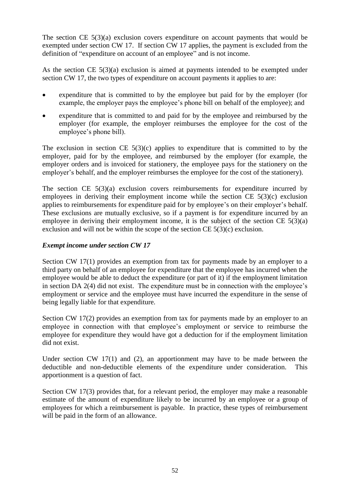The section CE 5(3)(a) exclusion covers expenditure on account payments that would be exempted under section CW 17. If section CW 17 applies, the payment is excluded from the definition of "expenditure on account of an employee" and is not income.

As the section CE 5(3)(a) exclusion is aimed at payments intended to be exempted under section CW 17, the two types of expenditure on account payments it applies to are:

- expenditure that is committed to by the employee but paid for by the employer (for example, the employer pays the employee's phone bill on behalf of the employee); and
- expenditure that is committed to and paid for by the employee and reimbursed by the employer (for example, the employer reimburses the employee for the cost of the employee's phone bill).

The exclusion in section CE  $5(3)(c)$  applies to expenditure that is committed to by the employer, paid for by the employee, and reimbursed by the employer (for example, the employer orders and is invoiced for stationery, the employee pays for the stationery on the employer's behalf, and the employer reimburses the employee for the cost of the stationery).

The section CE  $5(3)(a)$  exclusion covers reimbursements for expenditure incurred by employees in deriving their employment income while the section CE 5(3)(c) exclusion applies to reimbursements for expenditure paid for by employee's on their employer's behalf. These exclusions are mutually exclusive, so if a payment is for expenditure incurred by an employee in deriving their employment income, it is the subject of the section  $CE\ 5(3)(a)$ exclusion and will not be within the scope of the section CE 5(3)(c) exclusion.

# *Exempt income under section CW 17*

Section CW 17(1) provides an exemption from tax for payments made by an employer to a third party on behalf of an employee for expenditure that the employee has incurred when the employee would be able to deduct the expenditure (or part of it) if the employment limitation in section DA 2(4) did not exist. The expenditure must be in connection with the employee's employment or service and the employee must have incurred the expenditure in the sense of being legally liable for that expenditure.

Section CW 17(2) provides an exemption from tax for payments made by an employer to an employee in connection with that employee's employment or service to reimburse the employee for expenditure they would have got a deduction for if the employment limitation did not exist.

Under section CW 17(1) and (2), an apportionment may have to be made between the deductible and non-deductible elements of the expenditure under consideration. This apportionment is a question of fact.

Section CW 17(3) provides that, for a relevant period, the employer may make a reasonable estimate of the amount of expenditure likely to be incurred by an employee or a group of employees for which a reimbursement is payable. In practice, these types of reimbursement will be paid in the form of an allowance.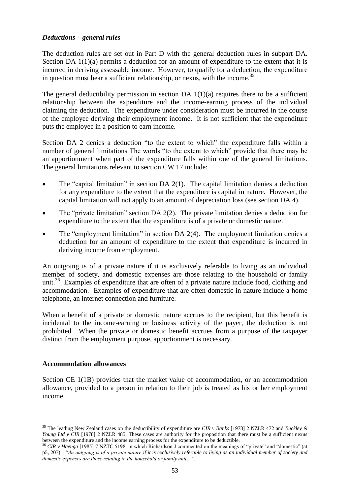#### *Deductions – general rules*

The deduction rules are set out in Part D with the general deduction rules in subpart DA. Section DA  $1(1)(a)$  permits a deduction for an amount of expenditure to the extent that it is incurred in deriving assessable income. However, to qualify for a deduction, the expenditure in question must bear a sufficient relationship, or nexus, with the income. 35

The general deductibility permission in section DA  $1(1)(a)$  requires there to be a sufficient relationship between the expenditure and the income-earning process of the individual claiming the deduction. The expenditure under consideration must be incurred in the course of the employee deriving their employment income. It is not sufficient that the expenditure puts the employee in a position to earn income.

Section DA 2 denies a deduction "to the extent to which" the expenditure falls within a number of general limitations The words "to the extent to which" provide that there may be an apportionment when part of the expenditure falls within one of the general limitations. The general limitations relevant to section CW 17 include:

- $\bullet$  The "capital limitation" in section DA 2(1). The capital limitation denies a deduction for any expenditure to the extent that the expenditure is capital in nature. However, the capital limitation will not apply to an amount of depreciation loss (see section DA 4).
- The "private limitation" section DA 2(2). The private limitation denies a deduction for expenditure to the extent that the expenditure is of a private or domestic nature.
- The "employment limitation" in section DA 2(4). The employment limitation denies a deduction for an amount of expenditure to the extent that expenditure is incurred in deriving income from employment.

An outgoing is of a private nature if it is exclusively referable to living as an individual member of society, and domestic expenses are those relating to the household or family unit.<sup>36</sup> Examples of expenditure that are often of a private nature include food, clothing and accommodation. Examples of expenditure that are often domestic in nature include a home telephone, an internet connection and furniture.

When a benefit of a private or domestic nature accrues to the recipient, but this benefit is incidental to the income-earning or business activity of the payer, the deduction is not prohibited. When the private or domestic benefit accrues from a purpose of the taxpayer distinct from the employment purpose, apportionment is necessary.

#### **Accommodation allowances**

 $\overline{a}$ 

Section CE 1(1B) provides that the market value of accommodation, or an accommodation allowance, provided to a person in relation to their job is treated as his or her employment income.

<sup>35</sup> The leading New Zealand cases on the deductibility of expenditure are *CIR v Banks* [1978] 2 NZLR 472 and *Buckley & Young Ltd v CIR* [1978] 2 NZLR 485. These cases are authority for the proposition that there must be a sufficient nexus between the expenditure and the income earning process for the expenditure to be deductible.

<sup>36</sup> *CIR v Haenga* [1985] 7 NZTC 5198, in which Richardson J commented on the meanings of "private" and "domestic" (at p5, 207): *"An outgoing is of a private nature if it is exclusively referable to living as an individual member of society and domestic expenses are those relating to the household or family unit…".*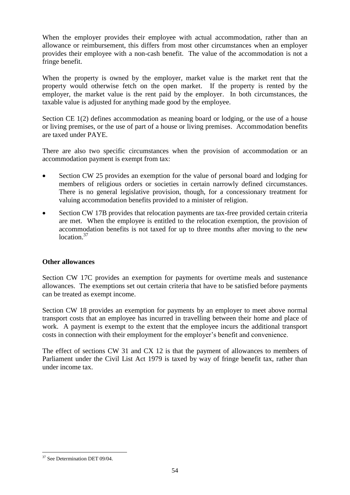When the employer provides their employee with actual accommodation, rather than an allowance or reimbursement, this differs from most other circumstances when an employer provides their employee with a non-cash benefit. The value of the accommodation is not a fringe benefit.

When the property is owned by the employer, market value is the market rent that the property would otherwise fetch on the open market. If the property is rented by the employer, the market value is the rent paid by the employer. In both circumstances, the taxable value is adjusted for anything made good by the employee.

Section CE 1(2) defines accommodation as meaning board or lodging, or the use of a house or living premises, or the use of part of a house or living premises. Accommodation benefits are taxed under PAYE.

There are also two specific circumstances when the provision of accommodation or an accommodation payment is exempt from tax:

- Section CW 25 provides an exemption for the value of personal board and lodging for members of religious orders or societies in certain narrowly defined circumstances. There is no general legislative provision, though, for a concessionary treatment for valuing accommodation benefits provided to a minister of religion.
- Section CW 17B provides that relocation payments are tax-free provided certain criteria are met. When the employee is entitled to the relocation exemption, the provision of accommodation benefits is not taxed for up to three months after moving to the new location.<sup>37</sup>

# **Other allowances**

Section CW 17C provides an exemption for payments for overtime meals and sustenance allowances. The exemptions set out certain criteria that have to be satisfied before payments can be treated as exempt income.

Section CW 18 provides an exemption for payments by an employer to meet above normal transport costs that an employee has incurred in travelling between their home and place of work. A payment is exempt to the extent that the employee incurs the additional transport costs in connection with their employment for the employer's benefit and convenience.

The effect of sections CW 31 and CX 12 is that the payment of allowances to members of Parliament under the Civil List Act 1979 is taxed by way of fringe benefit tax, rather than under income tax.

 $\overline{a}$ <sup>37</sup> See Determination DET 09/04.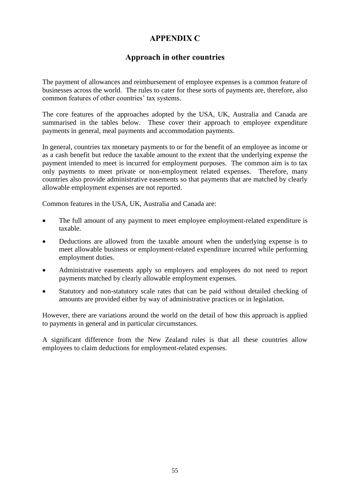# **APPENDIX C**

# **Approach in other countries**

The payment of allowances and reimbursement of employee expenses is a common feature of businesses across the world. The rules to cater for these sorts of payments are, therefore, also common features of other countries' tax systems.

The core features of the approaches adopted by the USA, UK, Australia and Canada are summarised in the tables below. These cover their approach to employee expenditure payments in general, meal payments and accommodation payments.

In general, countries tax monetary payments to or for the benefit of an employee as income or as a cash benefit but reduce the taxable amount to the extent that the underlying expense the payment intended to meet is incurred for employment purposes. The common aim is to tax only payments to meet private or non-employment related expenses. Therefore, many countries also provide administrative easements so that payments that are matched by clearly allowable employment expenses are not reported.

Common features in the USA, UK, Australia and Canada are:

- The full amount of any payment to meet employee employment-related expenditure is taxable.
- Deductions are allowed from the taxable amount when the underlying expense is to meet allowable business or employment-related expenditure incurred while performing employment duties.
- Administrative easements apply so employers and employees do not need to report payments matched by clearly allowable employment expenses.
- Statutory and non-statutory scale rates that can be paid without detailed checking of amounts are provided either by way of administrative practices or in legislation.

However, there are variations around the world on the detail of how this approach is applied to payments in general and in particular circumstances.

A significant difference from the New Zealand rules is that all these countries allow employees to claim deductions for employment-related expenses.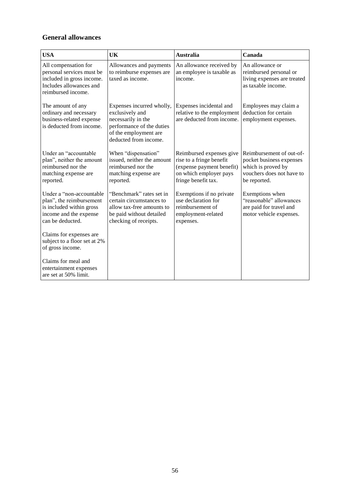# **General allowances**

| <b>USA</b>                                                                                                                      | UK                                                                                                                                                | <b>Australia</b>                                                                                                                   | Canada                                                                                                                  |
|---------------------------------------------------------------------------------------------------------------------------------|---------------------------------------------------------------------------------------------------------------------------------------------------|------------------------------------------------------------------------------------------------------------------------------------|-------------------------------------------------------------------------------------------------------------------------|
| All compensation for<br>personal services must be<br>included in gross income.<br>Includes allowances and<br>reimbursed income. | Allowances and payments<br>to reimburse expenses are<br>taxed as income.                                                                          | An allowance received by<br>an employee is taxable as<br>income.                                                                   | An allowance or<br>reimbursed personal or<br>living expenses are treated<br>as taxable income.                          |
| The amount of any<br>ordinary and necessary<br>business-related expense<br>is deducted from income.                             | Expenses incurred wholly,<br>exclusively and<br>necessarily in the<br>performance of the duties<br>of the employment are<br>deducted from income. | Expenses incidental and<br>relative to the employment<br>are deducted from income.                                                 | Employees may claim a<br>deduction for certain<br>employment expenses.                                                  |
| Under an "accountable<br>plan", neither the amount<br>reimbursed nor the<br>matching expense are<br>reported.                   | When "dispensation"<br>issued, neither the amount<br>reimbursed nor the<br>matching expense are<br>reported.                                      | Reimbursed expenses give<br>rise to a fringe benefit<br>(expense payment benefit)<br>on which employer pays<br>fringe benefit tax. | Reimbursement of out-of-<br>pocket business expenses<br>which is proved by<br>vouchers does not have to<br>be reported. |
| Under a "non-accountable<br>plan", the reimbursement<br>is included within gross<br>income and the expense<br>can be deducted.  | "Benchmark" rates set in<br>certain circumstances to<br>allow tax-free amounts to<br>be paid without detailed<br>checking of receipts.            | Exemptions if no private<br>use declaration for<br>reimbursement of<br>employment-related<br>expenses.                             | Exemptions when<br>"reasonable" allowances<br>are paid for travel and<br>motor vehicle expenses.                        |
| Claims for expenses are<br>subject to a floor set at 2%<br>of gross income.                                                     |                                                                                                                                                   |                                                                                                                                    |                                                                                                                         |
| Claims for meal and<br>entertainment expenses<br>are set at 50% limit.                                                          |                                                                                                                                                   |                                                                                                                                    |                                                                                                                         |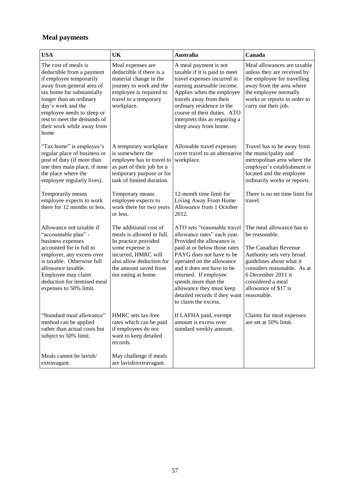# **Meal payments**

| <b>USA</b>                                                                                                                                                                                                                                                                                  | UK                                                                                                                                                                                                | <b>Australia</b>                                                                                                                                                                                                                                                                                                                                     | Canada                                                                                                                                                                                                                                        |
|---------------------------------------------------------------------------------------------------------------------------------------------------------------------------------------------------------------------------------------------------------------------------------------------|---------------------------------------------------------------------------------------------------------------------------------------------------------------------------------------------------|------------------------------------------------------------------------------------------------------------------------------------------------------------------------------------------------------------------------------------------------------------------------------------------------------------------------------------------------------|-----------------------------------------------------------------------------------------------------------------------------------------------------------------------------------------------------------------------------------------------|
| The cost of meals is<br>deductible from a payment<br>if employee temporarily<br>away from general area of<br>tax home for substantially<br>longer than an ordinary<br>day's work and the<br>employee needs to sleep or<br>rest to meet the demands of<br>their work while away from<br>home | Meal expenses are<br>deductible if there is a<br>material change in the<br>journey to work and the<br>employee is required to<br>travel to a temporary<br>workplace.                              | A meal payment is not<br>taxable if it is paid to meet<br>travel expenses incurred in<br>earning assessable income.<br>Applies when the employee<br>travels away from their<br>ordinary residence in the<br>course of their duties. ATO<br>interprets this as requiring a<br>sleep away from home.                                                   | Meal allowances are taxable<br>unless they are received by<br>the employee for travelling<br>away from the area where<br>the employee normally<br>works or reports in order to<br>carry out their job.                                        |
| "Tax home" is employee's<br>regular place of business or<br>post of duty (if more than<br>one then main place, if none<br>the place where the<br>employee regularly lives).                                                                                                                 | A temporary workplace<br>is somewhere the<br>employee has to travel to<br>as part of their job for a<br>temporary purpose or for<br>task of limited duration.                                     | Allowable travel expenses<br>cover travel to an alternative<br>workplace.                                                                                                                                                                                                                                                                            | Travel has to be away from<br>the municipality and<br>metropolitan area where the<br>employer's establishment is<br>located and the employee<br>ordinarily works or reports.                                                                  |
| Temporarily means<br>employee expects to work<br>there for 12 months or less.                                                                                                                                                                                                               | Temporary means<br>employee expects to<br>work there for two years<br>or less.                                                                                                                    | 12-month time limit for<br>Living Away From Home<br>Allowance from 1 October<br>2012.                                                                                                                                                                                                                                                                | There is no set time limit for<br>travel.                                                                                                                                                                                                     |
| Allowance not taxable if<br>"accountable plan" -<br>business expenses<br>accounted for in full to<br>employer, any excess over<br>is taxable. Otherwise full<br>allowance taxable.<br>Employee may claim<br>deduction for itemised meal<br>expenses to 50% limit.                           | The additional cost of<br>meals is allowed in full.<br>In practice provided<br>some expense is<br>incurred, HMRC will<br>also allow deduction for<br>the amount saved from<br>not eating at home. | ATO sets "reasonable travel<br>allowance rates" each year.<br>Provided the allowance is<br>paid at or below those rates<br>PAYG does not have to be<br>operated on the allowance<br>and it does not have to be<br>returned. If employee<br>spends more than the<br>allowance they must keep<br>detailed records if they want<br>to claim the excess. | The meal allowance has to<br>be reasonable.<br>The Canadian Revenue<br>Authority sets very broad<br>guidelines about what it<br>considers reasonable. As at<br>6 December 2011 it<br>considered a meal<br>allowance of \$17 is<br>reasonable. |
| "Standard meal allowance"<br>method can be applied<br>rather than actual costs but<br>subject to 50% limit.                                                                                                                                                                                 | HMRC sets tax-free<br>rates which can be paid<br>if employees do not<br>want to keep detailed<br>records.                                                                                         | If LAFHA paid, exempt<br>amount is excess over<br>standard weekly amount.                                                                                                                                                                                                                                                                            | Claims for meal expenses<br>are set at 50% limit.                                                                                                                                                                                             |
| Meals cannot be lavish/<br>extravagant.                                                                                                                                                                                                                                                     | May challenge if meals<br>are lavish/extravagant.                                                                                                                                                 |                                                                                                                                                                                                                                                                                                                                                      |                                                                                                                                                                                                                                               |